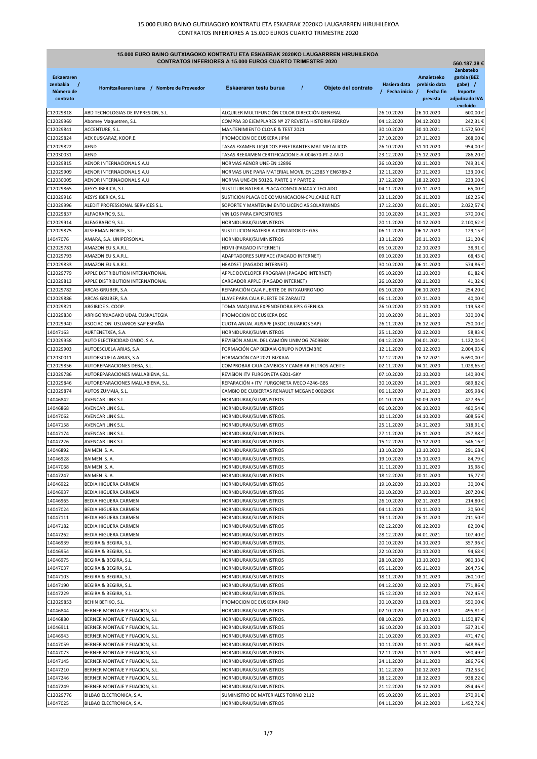| <b>CONTRATOS INFERIORES A 15.000 EUROS CUARTO TRIMESTRE 2020</b><br>560.187,38 € |                                                                      |                                                                                                     |                                  |                                                      |                                                                  |
|----------------------------------------------------------------------------------|----------------------------------------------------------------------|-----------------------------------------------------------------------------------------------------|----------------------------------|------------------------------------------------------|------------------------------------------------------------------|
| <b>Eskaeraren</b><br>zenbakia<br>Número de<br>contrato                           | Hornitzailearen izena / Nombre de Proveedor                          | $\prime$<br>Objeto del contrato<br>Eskaeraren testu burua                                           | Hasiera data<br>/ Fecha inicio / | Amaietzeko<br>prebisio data<br>Fecha fin<br>prevista | Zenbateko<br>garbia (BEZ<br>gabe) /<br>Importe<br>adjudicado IVA |
|                                                                                  |                                                                      |                                                                                                     |                                  |                                                      | excluído                                                         |
| C12029818                                                                        | ABD TECNOLOGIAS DE IMPRESION, S.L.                                   | ALQUILER MULTIFUNCIÓN COLOR DIRECCIÓN GENERAL<br>COMPRA 30 EJEMPLARES Nº 27 REVISTA HISTORIA FERROV | 26.10.2020<br>04.12.2020         | 26.10.2020<br>04.12.2020                             | 600,00€<br>242,31€                                               |
| C12029969<br>C12029841                                                           | Abomey Maquetren, S.L.<br>ACCENTURE, S.L.                            | MANTENIMIENTO CLONE & TEST 2021                                                                     | 30.10.2020                       | 30.10.2021                                           | 1.572,50 €                                                       |
| C12029824                                                                        | AEK EUSKARAZ, KOOP.E.                                                | PROMOCION DE EUSKERA JIPM                                                                           | 27.10.2020                       | 27.11.2020                                           | 268,00 €                                                         |
| C12029822                                                                        | AEND                                                                 | TASAS EXAMEN LIQUIDOS PENETRANTES MAT METALICOS                                                     | 26.10.2020                       | 31.10.2020                                           | 954,00€                                                          |
| C12030031                                                                        | AEND                                                                 | TASAS REEXAMEN CERTIFICACION E-A-004670-PT-2-M-0                                                    | 23.12.2020                       | 25.12.2020                                           | 286,20€                                                          |
| C12029815                                                                        | AENOR INTERNACIONAL S.A.U                                            | NORMAS AENOR UNE-EN 12896                                                                           | 26.10.2020                       | 02.11.2020                                           | 749,31€                                                          |
| C12029909                                                                        | AENOR INTERNACIONAL S.A.U                                            | NORMAS UNE PARA MATERIAL MOVIL EN12385 Y EN6789-2                                                   | 12.11.2020                       | 27.11.2020                                           | 133,00€                                                          |
| C12030005                                                                        | AENOR INTERNACIONAL S.A.U                                            | NORMA UNE-EN 50126. PARTE 1 Y PARTE 2                                                               | 17.12.2020                       | 18.12.2020                                           | 233,00€                                                          |
| C12029865                                                                        | AESYS IBERICA, S.L.                                                  | SUSTITUIR BATERIA-PLACA CONSOLA0404 Y TECLADO                                                       | 04.11.2020                       | 07.11.2020                                           | 65,00 €                                                          |
| C12029916                                                                        | AESYS IBERICA, S.L.                                                  | SUSTICION PLACA DE COMUNICACION-CPU, CABLE FLET                                                     | 23.11.2020                       | 26.11.2020                                           | 182,25€                                                          |
| C12029996                                                                        | ALEDIT PROFESSIONAL SERVICES S.L.                                    | SOPORTE Y MANTENIMIENTO LICENCIAS SOLARWINDS                                                        | 17.12.2020                       | 01.01.2021                                           | 2.022,57€                                                        |
| C12029837                                                                        | ALFAGRAFIC 9, S.L.                                                   | VINILOS PARA EXPOSITORES                                                                            | 30.10.2020                       | 14.11.2020                                           | 570,00€                                                          |
| C12029914                                                                        | ALFAGRAFIC 9, S.L.                                                   | HORNIDURAK/SUMINISTROS                                                                              | 20.11.2020                       | 10.12.2020                                           | 2.100,62 €                                                       |
| C12029875                                                                        | ALSERMAN NORTE, S.L.                                                 | SUSTITUCION BATERIA A CONTADOR DE GAS                                                               | 06.11.2020                       | 06.12.2020                                           | 129,15€                                                          |
| 14047076                                                                         | AMARA, S.A. UNIPERSONAL                                              | HORNIDURAK/SUMINISTROS                                                                              | 13.11.2020                       | 20.11.2020                                           | 121,20€                                                          |
| C12029781                                                                        | AMAZON EU S.A.R.L.                                                   | HDMI (PAGADO INTERNET)                                                                              | 05.10.2020                       | 12.10.2020                                           | 38,91€                                                           |
| C12029793                                                                        | AMAZON EU S.A.R.L.                                                   | ADAPTADORES SURFACE (PAGADO INTERNET)                                                               | 09.10.2020                       | 16.10.2020                                           | 68,43€                                                           |
| C12029833                                                                        | AMAZON EU S.A.R.L.                                                   | HEADSET (PAGADO INTERNET)                                                                           | 30.10.2020                       | 06.11.2020                                           | 574,86€                                                          |
| C12029779<br>C12029813                                                           | APPLE DISTRIBUTION INTERNATIONAL<br>APPLE DISTRIBUTION INTERNATIONAL | APPLE DEVELOPER PROGRAM (PAGADO INTERNET)<br>CARGADOR APPLE (PAGADO INTERNET)                       | 05.10.2020<br>26.10.2020         | 12.10.2020<br>02.11.2020                             | 81,82€<br>41,32€                                                 |
| C12029782                                                                        | ARCAS GRUBER, S.A.                                                   | REPARACIÓN CAJA FUERTE DE INTXAURRONDO                                                              | 05.10.2020                       | 06.10.2020                                           | 254,20€                                                          |
| C12029886                                                                        | ARCAS GRUBER, S.A.                                                   | LLAVE PARA CAJA FUERTE DE ZARAUTZ                                                                   | 06.11.2020                       | 07.11.2020                                           | 40,00 €                                                          |
| C12029821                                                                        | ARGIBIDE S. COOP.                                                    | TOMA MAQUINA EXPENDEDORA EPIS GERNIKA                                                               | 26.10.2020                       | 27.10.2020                                           | 119,58€                                                          |
| C12029830                                                                        | ARRIGORRIAGAKO UDAL EUSKALTEGIA                                      | PROMOCION DE EUSKERA DSC                                                                            | 30.10.2020                       | 30.11.2020                                           | 330,00€                                                          |
| C12029940                                                                        | ASOCIACION USUARIOS SAP ESPAÑA                                       | CUOTA ANUAL AUSAPE (ASOC.USUARIOS SAP)                                                              | 26.11.2020                       | 26.12.2020                                           | 750,00€                                                          |
| 14047163                                                                         | AURTENETXEA, S.A.                                                    | HORNIDURAK/SUMINISTROS                                                                              | 25.11.2020                       | 02.12.2020                                           | 58,83€                                                           |
| C12029958                                                                        | AUTO ELECTRICIDAD ONDO, S.A.                                         | REVISIÓN ANUAL DEL CAMIÓN UNIMOG 7609BBX                                                            | 04.12.2020                       | 04.01.2021                                           | 1.122,04€                                                        |
| C12029903                                                                        | AUTOESCUELA ARIAS, S.A.                                              | FORMACIÓN CAP BIZKAIA GRUPO NOVIEMBRE                                                               | 12.11.2020                       | 02.12.2020                                           | 2.004,93 €                                                       |
| C12030011                                                                        | AUTOESCUELA ARIAS, S.A.                                              | FORMACIÓN CAP 2021 BIZKAIA                                                                          | 17.12.2020                       | 16.12.2021                                           | 6.690,00 €                                                       |
| C12029856                                                                        | AUTOREPARACIONES DEBA, S.L.                                          | COMPROBAR CAJA CAMBIOS Y CAMBIAR FILTROS-ACEITE                                                     | 02.11.2020                       | 04.11.2020                                           | 1.028,65€                                                        |
| C12029786                                                                        | AUTOREPARACIONES MALLABIENA, S.L.                                    | REVISION ITV FURGONETA 6201-GKY                                                                     | 07.10.2020                       | 22.10.2020                                           | 140,90€                                                          |
| C12029846                                                                        | AUTOREPARACIONES MALLABIENA, S.L.                                    | REPARACIÓN + ITV FURGONETA IVECO 4246-GBS                                                           | 30.10.2020                       | 14.11.2020                                           | 689,82€                                                          |
| C12029874                                                                        | AUTOS ZUMAIA, S.L.                                                   | CAMBIO DE CUBIERTAS RENAULT MEGANE 0002KSK                                                          | 06.11.2020                       | 07.11.2020                                           | 205,98€                                                          |
| 14046842                                                                         | AVENCAR LINK S.L.                                                    | HORNIDURAK/SUMINISTROS                                                                              | 01.10.2020                       | 30.09.2020                                           | 427,36€                                                          |
| 14046868                                                                         | AVENCAR LINK S.L.                                                    | HORNIDURAK/SUMINISTROS                                                                              | 06.10.2020                       | 06.10.2020                                           | 480,54€                                                          |
| 14047062                                                                         | AVENCAR LINK S.L.                                                    | HORNIDURAK/SUMINISTROS.                                                                             | 10.11.2020                       | 14.10.2020                                           | 608,56€                                                          |
| 14047158                                                                         | AVENCAR LINK S.L.                                                    | HORNIDURAK/SUMINISTROS                                                                              | 25.11.2020                       | 24.11.2020                                           | 318,91€                                                          |
| 14047174                                                                         | AVENCAR LINK S.L.                                                    | HORNIDURAK/SUMINISTROS.                                                                             | 27.11.2020                       | 26.11.2020                                           | 257,88€                                                          |
| 14047226<br>14046892                                                             | AVENCAR LINK S.L.                                                    | HORNIDURAK/SUMINISTROS<br>HORNIDURAK/SUMINISTROS                                                    | 15.12.2020                       | 15.12.2020<br>13.10.2020                             | 546,16€                                                          |
| 14046928                                                                         | BAIMEN S.A.<br>BAIMEN S.A.                                           | HORNIDURAK/SUMINISTROS.                                                                             | 13.10.2020<br>19.10.2020         | 15.10.2020                                           | 291,68€<br>84,79€                                                |
| 14047068                                                                         | BAIMEN S.A.                                                          | HORNIDURAK/SUMINISTROS                                                                              | 11.11.2020                       | 11.11.2020                                           | 15,98€                                                           |
| 14047247                                                                         | BAIMEN S.A.                                                          | HORNIDURAK/SUMINISTROS                                                                              | 18.12.2020                       | 20.11.2020                                           | 15,77€                                                           |
| 14046922                                                                         | BEDIA HIGUERA CARMEN                                                 | HORNIDURAK/SUMINISTROS                                                                              | 19.10.2020                       | 23.10.2020                                           | 30,00€                                                           |
| 14046937                                                                         | BEDIA HIGUERA CARMEN                                                 | HORNIDURAK/SUMINISTROS                                                                              | 20.10.2020                       | 27.10.2020                                           | 207,20€                                                          |
| 14046965                                                                         | BEDIA HIGUERA CARMEN                                                 | HORNIDURAK/SUMINISTROS                                                                              | 26.10.2020                       | 02.11.2020                                           | 214,80€                                                          |
| 14047024                                                                         | BEDIA HIGUERA CARMEN                                                 | HORNIDURAK/SUMINISTROS                                                                              | 04.11.2020                       | 11.11.2020                                           | 20,50€                                                           |
| 14047111                                                                         | BEDIA HIGUERA CARMEN                                                 | HORNIDURAK/SUMINISTROS                                                                              | 19.11.2020                       | 26.11.2020                                           | 211,50€                                                          |
| 14047182                                                                         | BEDIA HIGUERA CARMEN                                                 | HORNIDURAK/SUMINISTROS                                                                              | 02.12.2020                       | 09.12.2020                                           | 82,00€                                                           |
| 14047262                                                                         | BEDIA HIGUERA CARMEN                                                 | HORNIDURAK/SUMINISTROS                                                                              | 28.12.2020                       | 04.01.2021                                           | 107,40€                                                          |
| 14046939                                                                         | BEGIRA & BEGIRA, S.L.                                                | HORNIDURAK/SUMINISTROS.                                                                             | 20.10.2020                       | 14.10.2020                                           | 357,96€                                                          |
| 14046954                                                                         | BEGIRA & BEGIRA, S.L.                                                | HORNIDURAK/SUMINISTROS.                                                                             | 22.10.2020                       | 21.10.2020                                           | 94,68€                                                           |
| 14046975                                                                         | BEGIRA & BEGIRA, S.L.                                                | HORNIDURAK/SUMINISTROS                                                                              | 28.10.2020                       | 13.10.2020                                           | 980,33€                                                          |
| 14047037                                                                         | BEGIRA & BEGIRA, S.L.                                                | HORNIDURAK/SUMINISTROS                                                                              | 05.11.2020                       | 05.11.2020                                           | 264,75€                                                          |
| 14047103                                                                         | BEGIRA & BEGIRA, S.L.                                                | HORNIDURAK/SUMINISTROS                                                                              | 18.11.2020                       | 18.11.2020                                           | 260,10€                                                          |
| 14047190                                                                         | BEGIRA & BEGIRA, S.L.                                                | HORNIDURAK/SUMINISTROS                                                                              | 04.12.2020                       | 02.12.2020                                           | 771,86€                                                          |
| 14047229                                                                         | BEGIRA & BEGIRA, S.L.                                                | HORNIDURAK/SUMINISTROS.                                                                             | 15.12.2020                       | 10.12.2020                                           | 742,45€                                                          |
| C12029853                                                                        | BEHIN BETIKO, S.L.                                                   | PROMOCION DE EUSKERA RND                                                                            | 30.10.2020                       | 13.08.2020                                           | 550,00€                                                          |
| 14046844                                                                         | BERNER MONTAJE Y FIJACION, S.L.                                      | HORNIDURAK/SUMINISTROS                                                                              | 02.10.2020                       | 01.09.2020                                           | 495,81€                                                          |
| 14046880                                                                         | BERNER MONTAJE Y FIJACION, S.L.                                      | HORNIDURAK/SUMINISTROS.                                                                             | 08.10.2020                       | 07.10.2020                                           | 1.150,87€                                                        |
| 14046911                                                                         | BERNER MONTAJE Y FIJACION, S.L.                                      | HORNIDURAK/SUMINISTROS                                                                              | 16.10.2020                       | 16.10.2020                                           | 537,31€                                                          |
| 14046943                                                                         | BERNER MONTAJE Y FIJACION, S.L.                                      | HORNIDURAK/SUMINISTROS                                                                              | 21.10.2020                       | 05.10.2020                                           | 471,47€                                                          |
| 14047059                                                                         | BERNER MONTAJE Y FIJACION, S.L.                                      | HORNIDURAK/SUMINISTROS                                                                              | 10.11.2020                       | 10.11.2020                                           | 648,86€                                                          |
| 14047073<br>14047145                                                             | BERNER MONTAJE Y FIJACION, S.L.                                      | HORNIDURAK/SUMINISTROS.<br>HORNIDURAK/SUMINISTROS                                                   | 12.11.2020<br>24.11.2020         | 11.11.2020<br>24.11.2020                             | 590,49€<br>286,76€                                               |
| 14047210                                                                         | BERNER MONTAJE Y FIJACION, S.L.<br>BERNER MONTAJE Y FIJACION, S.L.   | HORNIDURAK/SUMINISTROS                                                                              | 11.12.2020                       | 10.12.2020                                           | 712,53€                                                          |
| 14047246                                                                         | BERNER MONTAJE Y FIJACION, S.L.                                      | HORNIDURAK/SUMINISTROS                                                                              | 18.12.2020                       | 18.12.2020                                           | 938,22€                                                          |
| 14047249                                                                         | BERNER MONTAJE Y FIJACION, S.L.                                      | HORNIDURAK/SUMINISTROS.                                                                             | 21.12.2020                       | 16.12.2020                                           | 854,46€                                                          |
| C12029776                                                                        | BILBAO ELECTRONICA, S.A.                                             | SUMINISTRO DE MATERIALES TORNO 2112                                                                 | 05.10.2020                       | 05.11.2020                                           | 270,91€                                                          |
| 14047025                                                                         | BILBAO ELECTRONICA, S.A.                                             | HORNIDURAK/SUMINISTROS                                                                              | 04.11.2020                       | 04.12.2020                                           | 1.452,72€                                                        |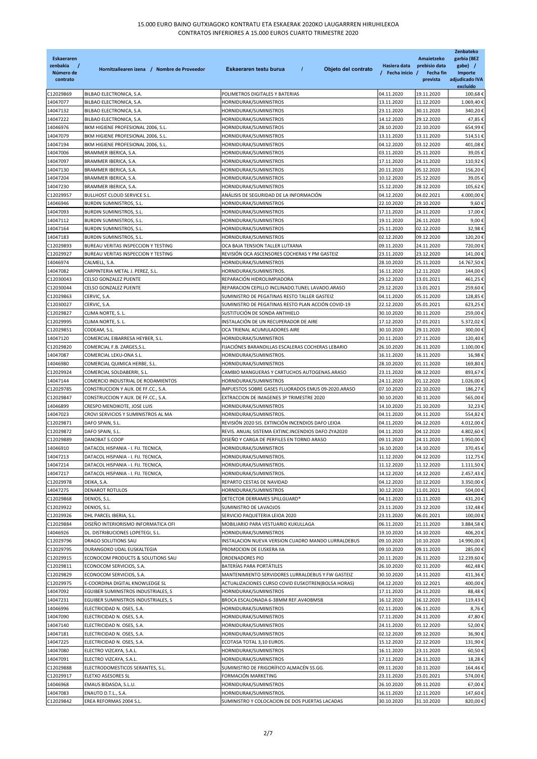| <b>Eskaeraren</b><br>zenbakia<br>$\prime$<br>Número de<br>contrato | Hornitzailearen izena / Nombre de Proveedor | $\overline{I}$<br>Objeto del contrato<br>Eskaeraren testu burua | Hasiera data<br>/ Fecha inicio / | Amaietzeko<br>prebisio data<br>Fecha fin<br>prevista | Zenbateko<br>garbia (BEZ<br>gabe) /<br>Importe<br>adjudicado IVA<br>excluído |
|--------------------------------------------------------------------|---------------------------------------------|-----------------------------------------------------------------|----------------------------------|------------------------------------------------------|------------------------------------------------------------------------------|
| C12029869                                                          | BILBAO ELECTRONICA, S.A.                    | POLIMETROS DIGITALES Y BATERIAS                                 | 04.11.2020                       | 19.11.2020                                           | 100,68€                                                                      |
| 14047077                                                           | BILBAO ELECTRONICA, S.A.                    | HORNIDURAK/SUMINISTROS                                          | 13.11.2020                       | 11.12.2020                                           | 1.069,40€                                                                    |
| 14047132                                                           | BILBAO ELECTRONICA, S.A.                    | HORNIDURAK/SUMINISTROS                                          | 23.11.2020                       | 30.11.2020                                           | 340,20€                                                                      |
| 14047222                                                           | BILBAO ELECTRONICA, S.A.                    | HORNIDURAK/SUMINISTROS                                          | 14.12.2020                       | 29.12.2020                                           | 47,85€                                                                       |
| 14046976                                                           | BKM HIGIENE PROFESIONAL 2006, S.L.          | HORNIDURAK/SUMINISTROS                                          | 28.10.2020                       | 22.10.2020                                           | 654,99€                                                                      |
| 14047079                                                           | BKM HIGIENE PROFESIONAL 2006, S.L.          | HORNIDURAK/SUMINISTROS                                          | 13.11.2020                       | 13.11.2020                                           | 514,51€                                                                      |
| 14047194                                                           | BKM HIGIENE PROFESIONAL 2006, S.L.          | HORNIDURAK/SUMINISTROS                                          | 04.12.2020                       | 03.12.2020                                           | 401,08€                                                                      |
| 14047006                                                           | BRAMMER IBERICA, S.A.                       | HORNIDURAK/SUMINISTROS                                          | 03.11.2020                       | 25.11.2020                                           | 39,05€                                                                       |
| 14047097                                                           | BRAMMER IBERICA, S.A.                       | HORNIDURAK/SUMINISTROS                                          | 17.11.2020                       | 24.11.2020                                           | 110,92€                                                                      |
| 14047130                                                           | BRAMMER IBERICA, S.A.                       | HORNIDURAK/SUMINISTROS                                          | 20.11.2020                       | 05.12.2020                                           | 156,20€                                                                      |
| 14047204                                                           | BRAMMER IBERICA, S.A.                       | HORNIDURAK/SUMINISTROS                                          | 10.12.2020                       | 25.12.2020                                           | 39,05€                                                                       |
| 14047230                                                           | BRAMMER IBERICA, S.A.                       | HORNIDURAK/SUMINISTROS                                          | 15.12.2020                       | 28.12.2020                                           | 105,62€                                                                      |
| C12029957                                                          | BULLHOST CLOUD SERVICE S.L.                 | ANÁLISIS DE SEGURIDAD DE LA INFORMACIÓN                         | 04.12.2020                       | 04.02.2021                                           | 4.000,00€                                                                    |
| 14046946                                                           | BURDIN SUMINISTROS, S.L.                    | HORNIDURAK/SUMINISTROS                                          | 22.10.2020                       | 29.10.2020                                           | 9,60€                                                                        |
| 14047093                                                           | BURDIN SUMINISTROS, S.L.                    | HORNIDURAK/SUMINISTROS                                          | 17.11.2020                       | 24.11.2020                                           | 17,00€                                                                       |
| 14047112                                                           | BURDIN SUMINISTROS, S.L.                    | HORNIDURAK/SUMINISTROS                                          | 19.11.2020                       | 26.11.2020                                           | 9,00€                                                                        |
| 14047164                                                           | BURDIN SUMINISTROS, S.L.                    | HORNIDURAK/SUMINISTROS                                          | 25.11.2020                       | 02.12.2020                                           | 32,98€                                                                       |
| 14047183                                                           | <b>BURDIN SUMINISTROS, S.L.</b>             | HORNIDURAK/SUMINISTROS                                          | 02.12.2020                       | 09.12.2020                                           | 120,20€                                                                      |
| C12029893                                                          | BUREAU VERITAS INSPECCION Y TESTING         | OCA BAJA TENSION TALLER LUTXANA                                 | 09.11.2020                       | 24.11.2020                                           | 720,00€                                                                      |
| C12029927                                                          | BUREAU VERITAS INSPECCION Y TESTING         | REVISIÓN OCA ASCENSORES COCHERAS Y PM GASTEIZ                   | 23.11.2020                       | 23.12.2020                                           | 141,00€                                                                      |
| 14046974                                                           | CALMELL, S.A.                               | HORNIDURAK/SUMINISTROS                                          | 28.10.2020                       | 25.11.2020                                           | 14.767,50€                                                                   |
| 14047082                                                           | CARPINTERIA METAL J. PEREZ, S.L.            | HORNIDURAK/SUMINISTROS.                                         | 16.11.2020                       | 12.11.2020                                           | 144,00€                                                                      |
| C12030043                                                          | CELSO GONZALEZ PUENTE                       | REPARACIÓN HIDROLIMPIADORA                                      | 29.12.2020                       | 13.01.2021                                           | 461,25€                                                                      |
| C12030044                                                          | CELSO GONZALEZ PUENTE                       | REPARACION CEPILLO INCLINADO.TUNEL LAVADO.ARASO                 | 29.12.2020                       | 13.01.2021                                           | 259,60€                                                                      |
| C12029863                                                          | CERVIC, S.A.                                | SUMINISTRO DE PEGATINAS RESTO TALLER GASTEIZ                    | 04.11.2020                       | 05.11.2020                                           | 128,85€                                                                      |
| C12030027                                                          | CERVIC, S.A.                                | SUMINISTRO DE PEGATINAS RESTO PLAN ACCIÓN COVID-19              | 22.12.2020                       | 05.01.2021                                           | 623,25€                                                                      |
| C12029827                                                          | CLIMA NORTE, S. L.                          | SUSTITUCIÓN DE SONDA ANTIHIELO                                  | 30.10.2020                       | 30.11.2020                                           | 259,00€                                                                      |
| C12029995                                                          | CLIMA NORTE, S. L.                          | INSTALACIÓN DE UN RECUPERADOR DE AIRE                           | 17.12.2020                       | 17.01.2021                                           | 5.372,02€                                                                    |
| C12029851                                                          | CODEAM, S.L.                                | OCA TRIENAL ACUMULADORES AIRE                                   | 30.10.2020                       | 29.11.2020                                           | 300,00€                                                                      |
| 14047120                                                           | COMERCIAL EIBARRESA HEYBER, S.L.            | HORNIDURAK/SUMINISTROS                                          | 20.11.2020                       | 27.11.2020                                           | 120,40€                                                                      |
| C12029820                                                          | COMERCIAL F.B. ZARGES, S.L.                 | FIJACIÓNES BARANDILLAS ESCALERAS COCHERAS LEBARIO               | 26.10.2020                       | 26.11.2020                                           | 1.100,00€                                                                    |
| 14047087                                                           | COMERCIAL LEKU-ONA S.L.                     | HORNIDURAK/SUMINISTROS.                                         | 16.11.2020                       | 16.11.2020                                           | 16,98€                                                                       |
| 14046980                                                           | COMERCIAL QUIMICA HERBE, S.L.               | HORNIDURAK/SUMINISTROS                                          | 28.10.2020                       | 01.11.2020                                           | 169,80€                                                                      |
| C12029924                                                          | COMERCIAL SOLDABERRI, S.L.                  | CAMBIO MANGUERAS Y CARTUCHOS AUTOGENAS.ARASO                    | 23.11.2020                       | 08.12.2020                                           | 893,67€                                                                      |
|                                                                    | COMERCIO INDUSTRIAL DE RODAMIENTOS          | HORNIDURAK/SUMINISTROS                                          | 24.11.2020                       | 01.12.2020                                           | 1.026,00€                                                                    |
| 14047144                                                           |                                             |                                                                 |                                  |                                                      |                                                                              |
| C12029785                                                          | CONSTRUCCION Y AUX. DE FF.CC., S.A.         | IMPUESTOS SOBRE GASES FLUORADOS EMUS 09-2020.ARASO              | 07.10.2020                       | 22.10.2020                                           | 186,27€                                                                      |
| C12029847                                                          | CONSTRUCCION Y AUX. DE FF.CC., S.A.         | EXTRACCION DE IMAGENES 3º TRIMESTRE 2020                        | 30.10.2020                       | 30.11.2020                                           | 565,00€                                                                      |
| 14046899                                                           | CRESPO MENDIKOTE, JOSE LUIS                 | HORNIDURAK/SUMINISTROS                                          | 14.10.2020                       | 21.10.2020                                           | 32,23€                                                                       |
| 14047023                                                           | CROVI SERVICIOS Y SUMINISTROS AL MA         | HORNIDURAK/SUMINISTROS.                                         | 04.11.2020                       | 04.11.2020                                           | 554,82€                                                                      |
| C12029871                                                          | DAFO SPAIN, S.L.                            | REVISIÓN 2020 SIS. EXTINCIÓN INCENDIOS DAFO LEIOA               | 04.11.2020                       | 04.12.2020                                           | 4.012,00€                                                                    |
| C12029872                                                          | DAFO SPAIN, S.L.                            | REVIS. ANUAL SISTEMA EXTINC.INCENDIOS DAFO ZYA2020              | 04.11.2020                       | 04.12.2020                                           | 4.802,60€                                                                    |
| C12029889                                                          | DANOBAT S.COOP                              | DISEÑO Y CARGA DE PERFILES EN TORNO ARASO                       | 09.11.2020                       | 24.11.2020                                           | 1.950,00€                                                                    |
| 14046910                                                           | DATACOL HISPANIA - I. FIJ. TECNICA,         | HORNIDURAK/SUMINISTROS                                          | 16.10.2020                       | 14.10.2020                                           | 370,45€                                                                      |
| 14047213                                                           | DATACOL HISPANIA - I. FIJ. TECNICA,         | HORNIDURAK/SUMINISTROS.                                         | 11.12.2020                       | 04.12.2020                                           | 112,75€                                                                      |
| 14047214                                                           | DATACOL HISPANIA - I. FIJ. TECNICA,         | HORNIDURAK/SUMINISTROS.                                         | 11.12.2020                       | 11.12.2020                                           | 1.111,50€                                                                    |
| 14047217                                                           | DATACOL HISPANIA - I. FIJ. TECNICA,         | HORNIDURAK/SUMINISTROS.                                         | 14.12.2020                       | 14.12.2020                                           | 2.457,43€                                                                    |
| C12029978                                                          | DEIKA, S.A.                                 | REPARTO CESTAS DE NAVIDAD                                       | 04.12.2020                       | 10.12.2020                                           | 3.350,00€                                                                    |
| 14047275                                                           | <b>DENAROT ROTULOS</b>                      | HORNIDURAK/SUMINISTROS                                          | 30.12.2020                       | 11.01.2021                                           | 504,00€                                                                      |
| C12029868                                                          | DENIOS, S.L.                                | DETECTOR DERRAMES SPILLGUARD®                                   | 04.11.2020                       | 11.11.2020                                           | 431,20€                                                                      |
| C12029922                                                          | DENIOS, S.L.                                | SUMINISTRO DE LAVAOJOS                                          | 23.11.2020                       | 23.12.2020                                           | 132,48€                                                                      |
| C12029926                                                          | DHL PARCEL IBERIA, S.L.                     | SERVICIO PAQUETERIA LEIOA 2020                                  | 23.11.2020                       | 06.01.2021                                           | 100,00€                                                                      |
| C12029884                                                          | DISEÑO INTERIORISMO INFORMATICA OFI         | MOBILIARIO PARA VESTUARIO KUKULLAGA                             | 06.11.2020                       | 21.11.2020                                           | 3.884,58€                                                                    |
| 14046926                                                           | DL. DISTRIBUCIONES LOPETEGI, S.L.           | HORNIDURAK/SUMINISTROS                                          | 19.10.2020                       | 14.10.2020                                           | 406,20€                                                                      |
| C12029796                                                          | DRAGO SOLUTIONS SAU                         | INSTALACION NUEVA VERSION CUADRO MANDO LURRALDEBUS              | 09.10.2020                       | 10.10.2020                                           | 14.990,00€                                                                   |
| C12029795                                                          | DURANGOKO UDAL EUSKALTEGIA                  | PROMOCION DE EUSKERA IIA                                        | 09.10.2020                       | 09.11.2020                                           | 285,00€                                                                      |
| C12029915                                                          | ECONOCOM PRODUCTS & SOLUTIONS SAU           | ORDENADORES PIO                                                 | 20.11.2020                       | 26.11.2020                                           | 12.239,60€                                                                   |
| C12029811                                                          | ECONOCOM SERVICIOS, S.A.                    | BATERÍAS PARA PORTÁTILES                                        | 26.10.2020                       | 02.11.2020                                           | 462,48€                                                                      |
| C12029829                                                          | ECONOCOM SERVICIOS, S.A.                    | MANTENIMIENTO SERVIDORES LURRALDEBUS Y FW GASTEIZ               | 30.10.2020                       | 14.11.2020                                           | 411,36€                                                                      |
| C12029975                                                          | E-COORDINA DIGITAL KNOWLEDGE SL             | ACTUALIZACIONES CURSO COVID EUSKOTREN(BOLSA HORAS)              | 04.12.2020                       | 03.12.2021                                           | 400,00€                                                                      |
| 14047092                                                           | EGUIBER SUMINISTROS INDUSTRIALES, S         | HORNIDURAK/SUMINISTROS                                          | 17.11.2020                       | 24.11.2020                                           | 88,48€                                                                       |
| 14047231                                                           | EGUIBER SUMINISTROS INDUSTRIALES, S         | BROCA ESCALONADA 6-38MM REF.AV4OBM5B                            | 16.12.2020                       | 16.12.2020                                           | 119,43€                                                                      |
| 14046996                                                           | ELECTRICIDAD N. OSES, S.A.                  | HORNIDURAK/SUMINISTROS                                          | 02.11.2020                       | 06.11.2020                                           | 8,76€                                                                        |
| 14047090                                                           | ELECTRICIDAD N. OSES, S.A.                  | HORNIDURAK/SUMINISTROS                                          | 17.11.2020                       | 24.11.2020                                           | 47,80€                                                                       |
| 14047140                                                           | ELECTRICIDAD N. OSES, S.A.                  | HORNIDURAK/SUMINISTROS                                          | 24.11.2020                       | 01.12.2020                                           | 52,00€                                                                       |
| 14047181                                                           | ELECTRICIDAD N. OSES, S.A.                  | HORNIDURAK/SUMINISTROS                                          | 02.12.2020                       | 09.12.2020                                           | 36,90€                                                                       |
| 14047225                                                           | ELECTRICIDAD N. OSES, S.A.                  | ECOTASA TOTAL 3,10 EUROS.                                       | 15.12.2020                       | 22.12.2020                                           | 131,90€                                                                      |
| 14047080                                                           | ELECTRO VIZCAYA, S.A.L.                     | HORNIDURAK/SUMINISTROS                                          | 16.11.2020                       | 23.11.2020                                           | 60,50€                                                                       |
| 14047091                                                           | ELECTRO VIZCAYA, S.A.L.                     | HORNIDURAK/SUMINISTROS                                          | 17.11.2020                       | 24.11.2020                                           | 18,28€                                                                       |
| C12029888                                                          | ELECTRODOMESTICOS SERANTES, S.L.            | SUMINISTRO DE FRIGORÍFICO ALMACÉN SS.GG.                        | 09.11.2020                       | 10.11.2020                                           | 164,46€                                                                      |
| C12029917                                                          | ELETXO ASESORES SL                          | FORMACIÓN MARKETING                                             | 23.11.2020                       | 23.01.2021                                           | 574,00€                                                                      |
| 14046968                                                           | EMAUS BIDASOA, S.L.U.                       | HORNIDURAK/SUMINISTROS                                          | 26.10.2020                       | 09.11.2020                                           | 67,00€                                                                       |
| 14047083                                                           | ENAUTO D.T.L., S.A.                         | HORNIDURAK/SUMINISTROS.                                         | 16.11.2020                       | 12.11.2020                                           | 147,60€                                                                      |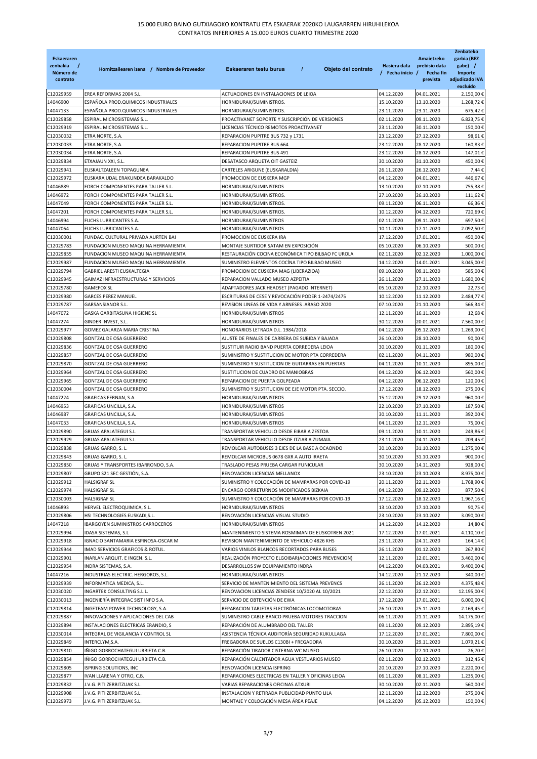| Eskaeraren<br>zenbakia<br>$\overline{1}$<br>Número de<br>contrato | Hornitzailearen izena / Nombre de Proveedor                              | $\overline{I}$<br>Objeto del contrato<br>Eskaeraren testu burua                                 | Hasiera data<br>/ Fecha inicio / | Amaietzeko<br>prebisio data<br>Fecha fin<br>prevista | Zenbateko<br>garbia (BEZ<br>gabe) /<br>Importe<br>adjudicado IVA<br>excluído |
|-------------------------------------------------------------------|--------------------------------------------------------------------------|-------------------------------------------------------------------------------------------------|----------------------------------|------------------------------------------------------|------------------------------------------------------------------------------|
| C12029959                                                         | EREA REFORMAS 2004 S.L.                                                  | ACTUACIONES EN INSTALACIONES DE LEIOA                                                           | 04.12.2020                       | 04.01.2021                                           | 2.150,00€                                                                    |
| 14046900                                                          | ESPAÑOLA PROD.QUIMICOS INDUSTRIALES                                      | HORNIDURAK/SUMINISTROS.                                                                         | 15.10.2020                       | 13.10.2020                                           | 1.268.72 €                                                                   |
| 14047133                                                          | ESPAÑOLA PROD.QUIMICOS INDUSTRIALES                                      | HORNIDURAK/SUMINISTROS.                                                                         | 23.11.2020                       | 23.11.2020                                           | 675,42€                                                                      |
| C12029858                                                         | ESPIRAL MICROSISTEMAS S.L.                                               | PROACTIVANET SOPORTE Y SUSCRIPCIÓN DE VERSIONES                                                 | 02.11.2020                       | 09.11.2020                                           | 6.823,75€                                                                    |
| C12029919                                                         | ESPIRAL MICROSISTEMAS S.L.                                               | LICENCIAS TÉCNICO REMOTOS PROACTIVANET                                                          | 23.11.2020                       | 30.11.2020                                           | 150,00 €                                                                     |
| C12030032                                                         | ETRA NORTE, S.A.                                                         | REPARACION PUPITRE BUS 732 y 1731                                                               | 23.12.2020                       | 27.12.2020                                           | 98,61€                                                                       |
| C12030033                                                         | ETRA NORTE, S.A.                                                         | REPARACION PUPITRE BUS 664                                                                      | 23.12.2020                       | 28.12.2020                                           | 160,83€                                                                      |
| C12030034                                                         | ETRA NORTE, S.A.                                                         | REPARACION PUPITRE BUS 491                                                                      | 23.12.2020                       | 28.12.2020                                           | 147,01€                                                                      |
| C12029834<br>C12029941                                            | ETXAJAUN XXI, S.L.<br>EUSKALTZALEEN TOPAGUNEA                            | DESATASCO ARQUETA OIT GASTEIZ<br>CARTELES ARIGUNE (EUSKARALDIA)                                 | 30.10.2020<br>26.11.2020         | 31.10.2020<br>26.12.2020                             | 450,00€<br>7,44 $\epsilon$                                                   |
| C12029972                                                         | EUSKARA UDAL ERAKUNDEA BARAKALDO                                         | PROMOCION DE EUSKERA MGP                                                                        | 04.12.2020                       | 04.01.2021                                           | 446,67€                                                                      |
| 14046889                                                          | FORCH COMPONENTES PARA TALLER S.L.                                       | HORNIDURAK/SUMINISTROS                                                                          | 13.10.2020                       | 07.10.2020                                           | 755,38€                                                                      |
| 14046972                                                          | FORCH COMPONENTES PARA TALLER S.L.                                       | HORNIDURAK/SUMINISTROS.                                                                         | 27.10.2020                       | 26.10.2020                                           | 111,62€                                                                      |
| 14047049                                                          | FORCH COMPONENTES PARA TALLER S.L.                                       | HORNIDURAK/SUMINISTROS.                                                                         | 09.11.2020                       | 06.11.2020                                           | 66,36€                                                                       |
| 14047201                                                          | FORCH COMPONENTES PARA TALLER S.L.                                       | HORNIDURAK/SUMINISTROS.                                                                         | 10.12.2020                       | 04.12.2020                                           | 720,69€                                                                      |
| 14046994                                                          | FUCHS LUBRICANTES S.A.                                                   | HORNIDURAK/SUMINISTROS                                                                          | 02.11.2020                       | 09.11.2020                                           | 697,50€                                                                      |
| 14047064                                                          | FUCHS LUBRICANTES S.A.                                                   | HORNIDURAK/SUMINISTROS                                                                          | 10.11.2020                       | 17.11.2020                                           | 2.092,50 €                                                                   |
| C12030001                                                         | FUNDAC. CULTURAL PRIVADA AURTEN BAI                                      | PROMOCION DE EUSKERA IRA                                                                        | 17.12.2020                       | 17.01.2021                                           | 450,00€                                                                      |
| C12029783                                                         | FUNDACION MUSEO MAQUINA HERRAMIENTA                                      | MONTAJE SURTIDOR SATAM EN EXPOSICIÓN                                                            | 05.10.2020                       | 06.10.2020                                           | 500,00 €                                                                     |
| C12029855                                                         | FUNDACION MUSEO MAQUINA HERRAMIENTA                                      | RESTAURACIÓN COCINA ECONÓMICA TIPO BILBAO FC UROLA                                              | 02.11.2020                       | 02.12.2020                                           | 1.000.00€                                                                    |
| C12029987                                                         | FUNDACION MUSEO MAQUINA HERRAMIENTA                                      | SUMINISTRO ELEMENTOS COCINA TIPO BILBAO MUSEO                                                   | 14.12.2020                       | 14.01.2021                                           | 3.045,00€                                                                    |
| C12029794                                                         | GABRIEL ARESTI EUSKALTEGIA                                               | PROMOCION DE EUSKERA MAG (LIBERAZIOA)                                                           | 09.10.2020                       | 09.11.2020                                           | 585,00€                                                                      |
| C12029945<br>C12029780                                            | GAIMAZ INFRAESTRUCTURAS Y SERVICIOS<br><b>GAMEFOX SL</b>                 | REPARACION VALLADO MUSEO AZPEITIA                                                               | 26.11.2020                       | 27.11.2020                                           | 1.680,00€                                                                    |
| C12029980                                                         | <b>GARCES PEREZ MANUEL</b>                                               | ADAPTADORES JACK HEADSET (PAGADO INTERNET)<br>ESCRITURAS DE CESE Y REVOCACIÓN PODER 1-2474/2475 | 05.10.2020<br>10.12.2020         | 12.10.2020<br>11.12.2020                             | 22,73€<br>2.484,77 €                                                         |
| C12029787                                                         | GARSANSIANOR S.L.                                                        | REVISION LINEAS DE VIDA Y ARNESES .ARASO 2020                                                   | 07.10.2020                       | 21.10.2020                                           | 566,34€                                                                      |
| 14047072                                                          | GASKA GARBITASUNA HIGIENE SL                                             | HORNIDURAK/SUMINISTROS                                                                          | 12.11.2020                       | 16.11.2020                                           | 12,68€                                                                       |
| 14047274                                                          | GINDER INVEST, S.L.                                                      | HORNIDURAK/SUMINISTROS                                                                          | 30.12.2020                       | 20.01.2021                                           | 7.560,00 €                                                                   |
| C12029977                                                         | GOMEZ GALARZA MARIA CRISTINA                                             | HONORARIOS LETRADA D.L. 1984/2018                                                               | 04.12.2020                       | 05.12.2020                                           | 1.269,00€                                                                    |
| C12029808                                                         | GONTZAL DE OSA GUERRERO                                                  | AJUSTE DE FINALES DE CARRERA DE SUBIDA Y BAJADA                                                 | 26.10.2020                       | 28.10.2020                                           | 90,00€                                                                       |
| C12029836                                                         | GONTZAL DE OSA GUERRERO                                                  | SUSTITUIR RADIO BAND PUERTA CORREDERA LEIOA                                                     | 30.10.2020                       | 01.11.2020                                           | 180,00€                                                                      |
| C12029857                                                         | GONTZAL DE OSA GUERRERO                                                  | SUMINISTRO Y SUSTITUCION DE MOTOR PTA CORREDERA                                                 | 02.11.2020                       | 04.11.2020                                           | 980,00€                                                                      |
| C12029870                                                         | GONTZAL DE OSA GUERRERO                                                  | SUMINISTRO Y SUSTITUCION DE GUITARRAS EN PUERTAS                                                | 04.11.2020                       | 10.11.2020                                           | 895,00€                                                                      |
| C12029964                                                         | GONTZAL DE OSA GUERRERO                                                  | SUSTITUCION DE CUADRO DE MANIOBRAS                                                              | 04.12.2020                       | 06.12.2020                                           | 560,00€                                                                      |
| C12029965                                                         | GONTZAL DE OSA GUERRERO                                                  | REPARACION DE PUERTA GOLPEADA                                                                   | 04.12.2020                       | 06.12.2020                                           | 120,00€                                                                      |
| C12030004                                                         | GONTZAL DE OSA GUERRERO                                                  | SUMINISTRO Y SUSTITUCION DE EJE MOTOR PTA. SECCIO.                                              | 17.12.2020                       | 18.12.2020                                           | 275,00€                                                                      |
| 14047224<br>14046953                                              | GRAFICAS FERNAN, S.A.                                                    | HORNIDURAK/SUMINISTROS<br>HORNIDURAK/SUMINISTROS                                                | 15.12.2020                       | 29.12.2020                                           | 960,00€<br>187,50€                                                           |
| 14046987                                                          | GRAFICAS UNCILLA, S.A.<br>GRAFICAS UNCILLA, S.A.                         | HORNIDURAK/SUMINISTROS                                                                          | 22.10.2020<br>30.10.2020         | 27.10.2020<br>11.11.2020                             | 392,00€                                                                      |
| 14047033                                                          | GRAFICAS UNCILLA, S.A.                                                   | HORNIDURAK/SUMINISTROS                                                                          | 04.11.2020                       | 12.11.2020                                           | 75,00€                                                                       |
| C12029890                                                         | <b>GRUAS APALATEGUI S.L.</b>                                             | TRANSPORTAR VEHICULO DESDE EIBAR A ZESTOA                                                       | 09.11.2020                       | 10.11.2020                                           | 249,86€                                                                      |
| C12029929                                                         | <b>GRUAS APALATEGUI S.L.</b>                                             | TRANSPORTAR VEHICULO DESDE ITZIAR A ZUMAIA                                                      | 23.11.2020                       | 24.11.2020                                           | 209,45€                                                                      |
| C12029838                                                         | GRUAS GARRO, S. L.                                                       | REMOLCAR AUTOBUSES 3 EJES DE LA BASE A OCAONDO                                                  | 30.10.2020                       | 31.10.2020                                           | 1.275,00€                                                                    |
| C12029843                                                         | GRUAS GARRO, S. L.                                                       | REMOLCAR MICROBUS 0678 GXR A AUTO IRAETA                                                        | 30.10.2020                       | 31.10.2020                                           | 900,00€                                                                      |
| C12029850                                                         | GRUAS Y TRANSPORTES IBARRONDO, S.A.                                      | TRASLADO PESAS PRUEBA CARGAR FUNICULAR                                                          | 30.10.2020                       | 14.11.2020                                           | 928,00€                                                                      |
| C12029807                                                         | GRUPO S21 SEC GESTION, S.A.                                              | RENOVACION LICENCIAS MELLANOX                                                                   | 23.10.2020                       | 23.10.2023                                           | 8.975,00 €                                                                   |
| C12029912                                                         | <b>HALSIGRAF SL</b>                                                      | SUMINISTRO Y COLOCACIÓN DE MAMPARAS POR COVID-19                                                | 20.11.2020                       | 22.11.2020                                           | 1.768,90€                                                                    |
| C12029974                                                         | <b>HALSIGRAF SL</b>                                                      | ENCARGO CORRETURNOS MODIFICADOS BIZKAIA                                                         | 04.12.2020                       | 09.12.2020                                           | 877,50€                                                                      |
| C12030003                                                         | HALSIGRAF SL                                                             | SUMINISTRO Y COLOCACIÓN DE MAMPARAS POR COVID-19                                                | 17.12.2020                       | 18.12.2020                                           | 1.967,16€                                                                    |
| 14046893                                                          | HERVEL ELECTROQUIMICA, S.L.                                              | HORNIDURAK/SUMINISTROS                                                                          | 13.10.2020                       | 17.10.2020                                           | 90,75€                                                                       |
| C12029806                                                         | HSI TECHNOLOGIES EUSKADI,S.L.<br><b>IBARGOYEN SUMINISTROS CARROCEROS</b> | RENOVACIÓN LICENCIAS VISUAL STUDIO<br>HORNIDURAK/SUMINISTROS                                    | 23.10.2020                       | 23.10.2022<br>14.12.2020                             | 3.090,00 €                                                                   |
| 14047218<br>C12029994                                             | IDASA SISTEMAS, S.L                                                      | MANTENIMIENTO SISTEMA ROSMIMAN DE EUSKOTREN 2021                                                | 14.12.2020<br>17.12.2020         | 17.01.2021                                           | 14,80€<br>4.110,10€                                                          |
| C12029918                                                         | IGNACIO SANTAMARIA ESPINOSA-OSCAR M                                      | REVISION MANTENIMIENTO DE VEHICULO 4826 KHS                                                     | 23.11.2020                       | 24.11.2020                                           | 164,14€                                                                      |
| C12029944                                                         | IMAD SERVICIOS GRAFICOS & ROTUL.                                         | VARIOS VINILOS BLANCOS RECORTADOS PARA BUSES                                                    | 26.11.2020                       | 01.12.2020                                           | 267,80€                                                                      |
| C12029901                                                         | INARLAN ARQUIT. E INGEN. S.L.                                            | REALIZACIÓN PROYECTO ELGOIBAR (ACCIONES PREVENCION)                                             | 12.11.2020                       | 12.01.2021                                           | 3.460,00 €                                                                   |
| C12029954                                                         | INDRA SISTEMAS, S.A.                                                     | DESARROLLOS SW EQUIPAMIENTO INDRA                                                               | 04.12.2020                       | 04.03.2021                                           | 9.400,00 €                                                                   |
| 14047216                                                          | INDUSTRIAS ELECTRIC. HERGOROS, S.L.                                      | HORNIDURAK/SUMINISTROS                                                                          | 14.12.2020                       | 21.12.2020                                           | 340,00 €                                                                     |
| C12029939                                                         | INFORMATICA MEDICA, S.L.                                                 | SERVICIO DE MANTENIMIENTO DEL SISTEMA PREVENCS                                                  | 26.11.2020                       | 26.12.2020                                           | 4.375,48€                                                                    |
| C12030020                                                         | INGARTEK CONSULTING S.L.L.                                               | RENOVACION LICENCIAS ZENDESK 10/2020 AL 10/2021                                                 | 22.12.2020                       | 22.12.2021                                           | 12.195,00 €                                                                  |
| C12030013                                                         | INGENIERÍA INTEGRAC SIST INFO S.A.                                       | SERVICIO DE OBTENCIÓN DE EWA                                                                    | 17.12.2020                       | 17.01.2021                                           | 6.000,00€                                                                    |
| C12029814                                                         | INGETEAM POWER TECHNOLOGY, S.A.                                          | REPARACION TARJETAS ELECTRÓNICAS LOCOMOTORAS                                                    | 26.10.2020                       | 25.11.2020                                           | 2.169,45€                                                                    |
| C12029887                                                         | INNOVACIONES Y APLICACIONES DEL CAB                                      | SUMINISTRO CABLE BANCO PRUEBA MOTORES TRACCION                                                  | 06.11.2020                       | 21.11.2020                                           | 14.175,00€                                                                   |
| C12029894                                                         | INSTALACIONES ELECTRICAS ERANDIO, S                                      | REPARACIÓN DE ALUMBRADO DEL TALLER                                                              | 09.11.2020                       | 09.12.2020                                           | 2.895,19€                                                                    |
| C12030014                                                         | INTEGRAL DE VIGILANCIA Y CONTROL SL                                      | ASISTENCIA TÉCNICA AUDITORÍA SEGURIDAD KUKULLAGA                                                | 17.12.2020                       | 17.01.2021                                           | 7.800,00 €                                                                   |
| C12029849<br>C12029810                                            | INTERCLYM, S.A.<br>IÑIGO GORROCHATEGUI URBIETA C.B.                      | FREGADORA DE SUELOS C130BI + FREGADORA<br>REPARACIÓN TIRADOR CISTERNA WC MUSEO                  | 30.10.2020<br>26.10.2020         | 29.11.2020<br>27.10.2020                             | 1.079,21€<br>26,70€                                                          |
| C12029854                                                         | IÑIGO GORROCHATEGUI URBIETA C.B.                                         | REPARACIÓN CALENTADOR AGUA VESTUARIOS MUSEO                                                     | 02.11.2020                       | 02.12.2020                                           | 312,45€                                                                      |
| C12029805                                                         | ISPRING SOLUTIONS, INC                                                   | RENOVACIÓN LICENCIA ISPRING                                                                     | 20.10.2020                       | 27.10.2020                                           | 2.220,00€                                                                    |
| C12029877                                                         | IVAN LLARENA Y OTRO, C.B.                                                | REPARACIONES ELECTRICAS EN TALLER Y OFICINAS LEIOA                                              | 06.11.2020                       | 08.11.2020                                           | 1.235,00€                                                                    |
| C12029832                                                         | J.V.G. PITI ZERBITZUAK S.L.                                              | VARIAS REPARACIONES OFICINAS ATXURI                                                             | 30.10.2020                       | 02.11.2020                                           | 560,00€                                                                      |
| C12029908                                                         | J.V.G. PITI ZERBITZUAK S.L.                                              | INSTALACION Y RETIRADA PUBLICIDAD PUNTO LILA                                                    | 12.11.2020                       | 12.12.2020                                           | 275,00€                                                                      |
| C12029973                                                         | J.V.G. PITI ZERBITZUAK S.L.                                              | MONTAJE Y COLOCACIÓN MESA ÁREA PEAJE                                                            | 04.12.2020                       | 05.12.2020                                           | 150,00€                                                                      |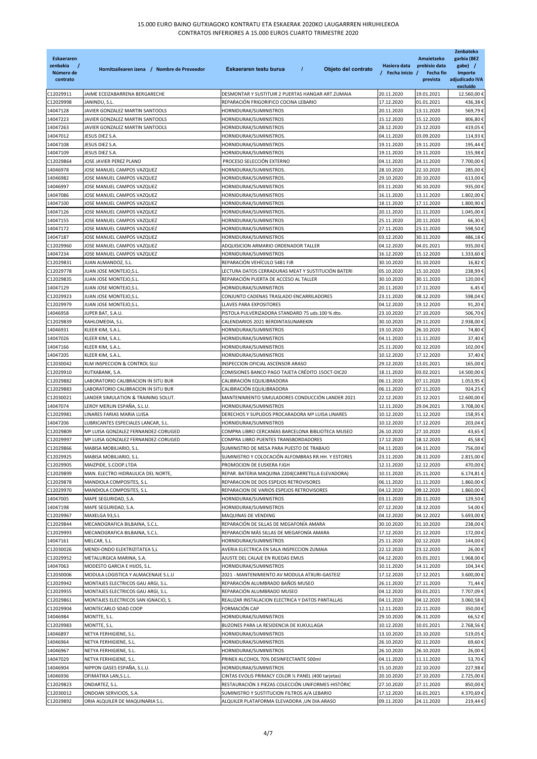| <b>Eskaeraren</b><br>zenbakia<br>Número de<br>contrato | Hornitzailearen izena / Nombre de Proveedor                                | $\boldsymbol{I}$<br>Objeto del contrato<br>Eskaeraren testu burua                           | Hasiera data<br>/ Fecha inicio / | Amaietzeko<br>prebisio data<br>Fecha fin<br>prevista | Zenbateko<br>garbia (BEZ<br>gabe) /<br>Importe<br>adjudicado IVA<br>excluído |
|--------------------------------------------------------|----------------------------------------------------------------------------|---------------------------------------------------------------------------------------------|----------------------------------|------------------------------------------------------|------------------------------------------------------------------------------|
| C12029911                                              | JAIME ECEIZABARRENA BERGARECHE                                             | DESMONTAR Y SUSTITUIR 2 PUERTAS HANGAR ART.ZUMAIA                                           | 20.11.2020                       | 19.01.2021                                           | 12.560,00 €                                                                  |
| C12029998                                              | JANINDU, S.L.                                                              | REPARACIÓN FRIGORIFICO COCINA LEBARIO                                                       | 17.12.2020                       | 01.01.2021                                           | 436,38€                                                                      |
| 14047128                                               | JAVIER GONZALEZ MARTIN SANTOOLS                                            | HORNIDURAK/SUMINISTROS                                                                      | 20.11.2020                       | 13.11.2020                                           | 569,79€                                                                      |
| 14047223                                               | JAVIER GONZALEZ MARTIN SANTOOLS                                            | HORNIDURAK/SUMINISTROS                                                                      | 15.12.2020                       | 15.12.2020                                           | 806,80€                                                                      |
| 14047263                                               | JAVIER GONZALEZ MARTIN SANTOOLS                                            | HORNIDURAK/SUMINISTROS                                                                      | 28.12.2020                       | 23.12.2020                                           | 419,05€                                                                      |
| 14047012                                               | JESUS DIEZ S.A.                                                            | HORNIDURAK/SUMINISTROS.                                                                     | 04.11.2020                       | 03.09.2020                                           | 114,93€                                                                      |
| 14047108                                               | JESUS DIEZ S.A.                                                            | HORNIDURAK/SUMINISTROS                                                                      | 19.11.2020                       | 19.11.2020                                           | 195,44 €                                                                     |
| 14047109<br>C12029864                                  | JESUS DIEZ S.A.<br>JOSE JAVIER PEREZ PLANO                                 | HORNIDURAK/SUMINISTROS<br>PROCESO SELECCIÓN EXTERNO                                         | 19.11.2020<br>04.11.2020         | 19.11.2020<br>24.11.2020                             | 155,98€<br>7.700,00                                                          |
| 14046978                                               | IOSE MANUEL CAMPOS VAZQUEZ                                                 | HORNIDURAK/SUMINISTROS.                                                                     | 28.10.2020                       | 22.10.2020                                           | 285,00 €                                                                     |
| 14046982                                               | IOSE MANUEL CAMPOS VAZQUEZ                                                 | HORNIDURAK/SUMINISTROS.                                                                     | 29.10.2020                       | 20.10.2020                                           | 613,00€                                                                      |
| 14046997                                               | IOSE MANUEL CAMPOS VAZQUEZ                                                 | HORNIDURAK/SUMINISTROS                                                                      | 03.11.2020                       | 30.10.2020                                           | 935,00 €                                                                     |
| 14047086                                               | IOSE MANUEL CAMPOS VAZQUEZ                                                 | HORNIDURAK/SUMINISTROS                                                                      | 16.11.2020                       | 13.11.2020                                           | 1.802,00 €                                                                   |
| 14047100                                               | IOSE MANUEL CAMPOS VAZQUEZ                                                 | HORNIDURAK/SUMINISTROS                                                                      | 18.11.2020                       | 17.11.2020                                           | 1.800,90 €                                                                   |
| 14047126                                               | IOSE MANUEL CAMPOS VAZQUEZ                                                 | HORNIDURAK/SUMINISTROS.                                                                     | 20.11.2020                       | 11.11.2020                                           | 1.045,00 €                                                                   |
| 14047155                                               | IOSE MANUEL CAMPOS VAZQUEZ                                                 | HORNIDURAK/SUMINISTROS                                                                      | 25.11.2020                       | 20.11.2020                                           | 66,30€                                                                       |
| 14047172                                               | OSE MANUEL CAMPOS VAZQUEZ                                                  | HORNIDURAK/SUMINISTROS                                                                      | 27.11.2020                       | 23.11.2020                                           | 598,50€                                                                      |
| 14047187                                               | IOSE MANUEL CAMPOS VAZQUEZ                                                 | HORNIDURAK/SUMINISTROS                                                                      | 03.12.2020                       | 30.11.2020                                           | 486,18€                                                                      |
| C12029960                                              | IOSE MANUEL CAMPOS VAZQUEZ                                                 | ADQUISICION ARMARIO ORDENADOR TALLER                                                        | 04.12.2020                       | 04.01.2021                                           | 935,00 €                                                                     |
| 14047234                                               | JOSE MANUEL CAMPOS VAZQUEZ                                                 | HORNIDURAK/SUMINISTROS                                                                      | 16.12.2020                       | 15.12.2020                                           | 1.333,60 €                                                                   |
| C12029831                                              | JUAN ALMANDOZ, S.L.                                                        | REPARACIÓN VEHÍCULO 5481 FJR                                                                | 30.10.2020                       | 31.10.2020                                           | 16,82€                                                                       |
| C12029778<br>C12029835                                 | IUAN JOSE MONTEJO,S.L.<br>JUAN JOSE MONTEJO,S.L.                           | LECTURA DATOS CERRADURAS MEAT Y SUSTITUCIÓN BATERI<br>REPARACIÓN PUERTA DE ACCESO AL TALLER | 05.10.2020<br>30.10.2020         | 15.10.2020<br>30.11.2020                             | 238,99€<br>120,00 €                                                          |
| 14047129                                               | JUAN JOSE MONTEJO,S.L.                                                     | HORNIDURAK/SUMINISTROS                                                                      | 20.11.2020                       | 17.11.2020                                           | 6,45                                                                         |
| C12029923                                              | JUAN JOSE MONTEJO, S.L.                                                    | CONJUNTO CADENAS TRASLADO ENCARRILADORES                                                    | 23.11.2020                       | 08.12.2020                                           | 598,04 €                                                                     |
| C12029979                                              | UAN JOSE MONTEJO,S.L.                                                      | LLAVES PARA EXPOSITORES                                                                     | 04.12.2020                       | 19.12.2020                                           | 91,20€                                                                       |
| 14046958                                               | JUPER BAT, S.A.U.                                                          | PISTOLA PULVERIZADORA STANDARD 75 uds.100 % dto.                                            | 23.10.2020                       | 27.10.2020                                           | 506,70€                                                                      |
| C12029839                                              | KAHLOMEDIA, S.L.                                                           | CALENDARIOS 2021 BERDINTASUNAREKIN                                                          | 30.10.2020                       | 29.11.2020                                           | 2.938,00 €                                                                   |
| 14046931                                               | KLEER KIM, S.A.L.                                                          | HORNIDURAK/SUMINISTROS                                                                      | 19.10.2020                       | 26.10.2020                                           | 74,80€                                                                       |
| 14047026                                               | KLEER KIM, S.A.L.                                                          | HORNIDURAK/SUMINISTROS                                                                      | 04.11.2020                       | 11.11.2020                                           | 37,40 €                                                                      |
| 14047166                                               | KLEER KIM, S.A.L.                                                          | HORNIDURAK/SUMINISTROS                                                                      | 25.11.2020                       | 02.12.2020                                           | 102,00€                                                                      |
| 14047205                                               | KLEER KIM, S.A.L.                                                          | HORNIDURAK/SUMINISTROS                                                                      | 10.12.2020                       | 17.12.2020                                           | 37,40 €                                                                      |
| C12030042                                              | KLM INSPECCION & CONTROL SLU                                               | INSPECCION OFICIAL ASCENSOR ARASO                                                           | 29.12.2020                       | 13.01.2021                                           | 165,00€                                                                      |
| C12029910                                              | KUTXABANK, S.A.                                                            | COMISIONES BANCO PAGO TAJETA CRÉDITO 15OCT-DIC20                                            | 18.11.2020                       | 03.02.2021                                           | 14.500,00                                                                    |
| C12029882                                              | LABORATORIO CALIBRACION IN SITU BUR                                        | CALIBRACIÓN EQUILIBRADORA                                                                   | 06.11.2020                       | 07.11.2020                                           | 1.053,95€                                                                    |
| C12029883<br>C12030021                                 | LABORATORIO CALIBRACION IN SITU BUR<br>LANDER SIMULATION & TRAINING SOLUT. | CALIBRACIÓN EQUILIBRADORA<br>MANTENIMIENTO SIMULADORES CONDUCCIÓN LANDER 2021               | 06.11.2020<br>22.12.2020         | 07.11.2020<br>21.12.2021                             | 924,25€<br>12.600,00 €                                                       |
| 14047074                                               | LEROY MERLIN ESPAÑA, S.L.U.                                                | HORNIDURAK/SUMINISTROS                                                                      | 12.11.2020                       | 29.04.2021                                           | 3.708,00 €                                                                   |
| C12029981                                              | LINARES FARIAS MARIA LUISA                                                 | DERECHOS Y SUPLIDOS PROCARADORA Mª LUISA LINARES                                            | 10.12.2020                       | 11.12.2020                                           | 158,95€                                                                      |
| 14047206                                               | LUBRICANTES ESPECIALES LANCAR, S.L.                                        | HORNIDURAK/SUMINISTROS                                                                      | 10.12.2020                       | 17.12.2020                                           | 203,04€                                                                      |
| C12029809                                              | Mª LUISA GONZALEZ FERNANDEZ-CORUGED                                        | COMPRA LIBRO CERCANÍAS BARCELONA BIBLIOTECA MUSEO                                           | 26.10.2020                       | 27.10.2020                                           | 43,65 €                                                                      |
| C12029997                                              | Mª LUISA GONZALEZ FERNANDEZ-CORUGED                                        | COMPRA LIBRO PUENTES TRANSBORDADORES                                                        | 17.12.2020                       | 18.12.2020                                           | 45,58€                                                                       |
| C12029866                                              | MABISA MOBILIARIO, S.L.                                                    | SUMINISTRO DE MESA PARA PUESTO DE TRABAJO                                                   | 04.11.2020                       | 04.11.2020                                           | 756,00€                                                                      |
| C12029925                                              | MABISA MOBILIARIO, S.L.                                                    | SUMINISTRO Y COLOCACIÓN ALFOMBRAS RR.HH. Y ESTORES                                          | 23.11.2020                       | 28.11.2020                                           | 2.815,00€                                                                    |
| C12029905                                              | MAIZPIDE, S.COOP.LTDA                                                      | PROMOCION DE EUSKERA FJGH                                                                   | 12.11.2020                       | 12.12.2020                                           | 470,00€                                                                      |
| C12029899                                              | MAN. ELECTRO HIDRAULICA DEL NORTE,                                         | REPAR. BATERIA MAQUINA 2204 (CARRETILLA ELEVADORA)                                          | 10.11.2020                       | 25.11.2020                                           | 6.174,81 €                                                                   |
| C12029878                                              | MANDIOLA COMPOSITES, S.L.                                                  | REPARACION DE DOS ESPEJOS RETROVISORES                                                      | 06.11.2020                       | 11.11.2020                                           | 1.860,00 €                                                                   |
| C12029970                                              | MANDIOLA COMPOSITES, S.L.                                                  | REPARACION DE VARIOS ESPEJOS RETROVISORES                                                   | 04.12.2020                       | 09.12.2020                                           | 1.860,00 €                                                                   |
| 14047005                                               | MAPE SEGURIDAD, S.A.                                                       | HORNIDURAK/SUMINISTROS                                                                      | 03.11.2020                       | 20.11.2020                                           | 129,50€                                                                      |
| 14047198                                               | MAPE SEGURIDAD, S.A.                                                       | HORNIDURAK/SUMINISTROS                                                                      | 07.12.2020                       | 18.12.2020                                           | 54,00€                                                                       |
| C12029967<br>C12029844                                 | MAXELGA 93,S.L<br>MECANOGRAFICA BILBAINA, S.C.L.                           | MAQUINAS DE VENDING<br>REPARACIÓN DE SILLAS DE MEGAFONÍA AMARA                              | 04.12.2020<br>30.10.2020         | 04.12.2022<br>31.10.2020                             | 5.693,00 €<br>238,00 €                                                       |
| C12029993                                              | MECANOGRAFICA BILBAINA, S.C.L.                                             | REPARACIÓN MÁS SILLAS DE MEGAFONÍA AMARA                                                    | 17.12.2020                       | 21.12.2020                                           | 172,00€                                                                      |
| 14047161                                               | MELCAR, S.L.                                                               | HORNIDURAK/SUMINISTROS                                                                      | 25.11.2020                       | 02.12.2020                                           | 144,00€                                                                      |
| C12030026                                              | MENDI-ONDO ELEKTRIZITATEA S,L                                              | AVERIA ELECTRICA EN SALA INSPECCION ZUMAIA                                                  | 22.12.2020                       | 23.12.2020                                           | 26,00 €                                                                      |
| C12029952                                              | METALURGICA MARINA, S.A.                                                   | AJUSTE DEL CALAJE EN RUEDAS EMUS                                                            | 04.12.2020                       | 03.01.2021                                           | 1.968,00                                                                     |
| 14047063                                               | MODESTO GARCIA E HIJOS, S.L.                                               | HORNIDURAK/SUMINISTROS                                                                      | 10.11.2020                       | 14.11.2020                                           | 104,34                                                                       |
| C12030006                                              | MODULA LOGISTICA Y ALMACENAJE S.L.U                                        | 2021 - MANTENIMIENTO AV MODULA ATXURI-GASTEIZ                                               | 17.12.2020                       | 17.12.2021                                           | 3.600,00 €                                                                   |
| C12029942                                              | MONTAJES ELECTRICOS GAU ARGI, S.L.                                         | REPARACIÓN ALUMBRADO BAÑOS MUSEO                                                            | 26.11.2020                       | 27.11.2020                                           | 71,44 €                                                                      |
| C12029955                                              | MONTAJES ELECTRICOS GAU ARGI, S.L.                                         | REPARACIÓN ALUMBRADO MUSEO                                                                  | 04.12.2020                       | 03.01.2021                                           | 7.707,09                                                                     |
| C12029861                                              | MONTAJES ELECTRICOS SAN IGNACIO, S.                                        | REALIZAR INSTALACION ELECTRICA Y DATOS PANTALLAS                                            | 04.11.2020                       | 04.12.2020                                           | 3.060,58€                                                                    |
| C12029904                                              | MONTECARLO SDAD COOP                                                       | FORMACIÓN CAP                                                                               | 12.11.2020                       | 22.11.2020                                           | 350,00 €                                                                     |
| 14046984                                               | MONTTE, S.L.                                                               | HORNIDURAK/SUMINISTROS                                                                      | 29.10.2020                       | 06.11.2020                                           | 66,52€                                                                       |
| C12029983                                              | MONTTE, S.L.                                                               | BUZONES PARA LA RESIDENCIA DE KUKULLAGA                                                     | 10.12.2020                       | 10.01.2021                                           | 2.768,56 €                                                                   |
| 14046897                                               | NETYA FERHIGIENE, S.L.                                                     | HORNIDURAK/SUMINISTROS                                                                      | 13.10.2020                       | 23.10.2020                                           | 519,05                                                                       |
| 14046964                                               | NETYA FERHIGIENE, S.L.                                                     | HORNIDURAK/SUMINISTROS                                                                      | 26.10.2020                       | 02.11.2020                                           | 69,60€                                                                       |
| 14046967<br>14047029                                   | NETYA FERHIGIENE, S.L.<br>NETYA FERHIGIENE, S.L.                           | HORNIDURAK/SUMINISTROS<br>PRINEX ALCOHOL 70% DESINFECTANTE 500ml                            | 26.10.2020<br>04.11.2020         | 26.10.2020<br>11.11.2020                             | 26,00 €<br>53,70                                                             |
| 14046904                                               | NIPPON GASES ESPAÑA, S.L.U.                                                | HORNIDURAK/SUMINISTROS                                                                      | 15.10.2020                       | 22.10.2020                                           | 227,98€                                                                      |
| 14046936                                               | OFIMATIKA LAN, S.L.L.                                                      | CINTAS EVOLIS PRIMACY COLOR 1/2 PANEL (400 tarjetas)                                        | 20.10.2020                       | 27.10.2020                                           | 2.725,00 €                                                                   |
| C12029823                                              | ONDARTEZ, S.L.                                                             | RESTAURACIÓN 3 PIEZAS COLECCIÓN UNIFORMES HISTÓRIC                                          | 27.10.2020                       | 27.11.2020                                           | 850,00 €                                                                     |
| C12030012                                              | ONDOAN SERVICIOS, S.A.                                                     | SUMINISTRO Y SUSTITUCION FILTROS A/A LEBARIO                                                | 17.12.2020                       | 16.01.2021                                           | 4.370,69€                                                                    |
| C12029892                                              | ORIA ALQUILER DE MAQUINARIA S.L.                                           | ALQUILER PLATAFORMA ELEVADORA ,UN DIA.ARASO                                                 | 09.11.2020                       | 24.11.2020                                           | 219,44€                                                                      |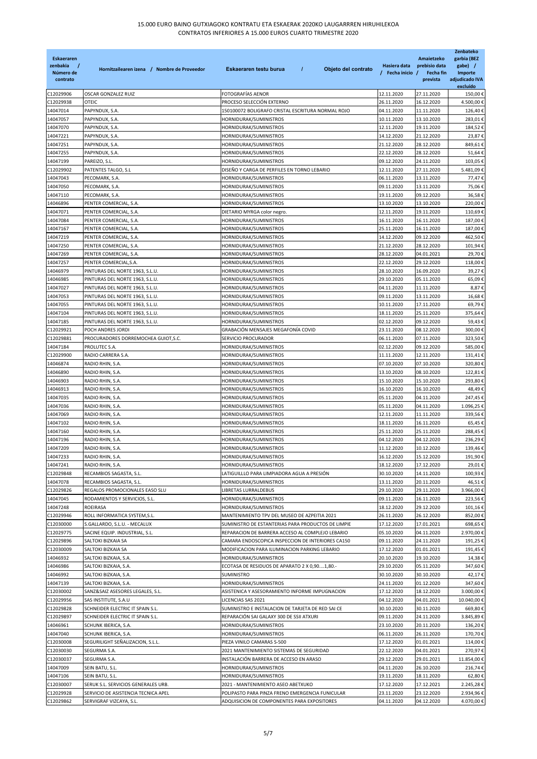| Eskaeraren<br>zenbakia<br>Número de<br>contrato | Hornitzailearen izena / Nombre de Proveedor          | $\prime$<br>Eskaeraren testu burua<br>Objeto del contrato                                             | Hasiera data<br>/ Fecha inicio / | Amaietzeko<br>prebisio data<br>Fecha fin<br>prevista | Zenbateko<br>garbia (BEZ<br>gabe) /<br>Importe<br>adjudicado IVA<br>excluído |
|-------------------------------------------------|------------------------------------------------------|-------------------------------------------------------------------------------------------------------|----------------------------------|------------------------------------------------------|------------------------------------------------------------------------------|
| C12029906                                       | OSCAR GONZALEZ RUIZ                                  | FOTOGRAFÍAS AENOR                                                                                     | 12.11.2020                       | 27.11.2020                                           | 150,00€                                                                      |
| C12029938                                       | OTEIC                                                | PROCESO SELECCIÓN EXTERNO                                                                             | 26.11.2020                       | 16.12.2020                                           | 4.500,00€                                                                    |
| 14047014                                        | PAPYNDUX, S.A.                                       | 150100072 BOLIGRAFO CRISTAL ESCRITURA NORMAL ROJO                                                     | 04.11.2020                       | 11.11.2020                                           | 126,40€                                                                      |
| 14047057                                        | PAPYNDUX, S.A.                                       | HORNIDURAK/SUMINISTROS                                                                                | 10.11.2020                       | 13.10.2020                                           | 283,01€                                                                      |
| 14047070                                        | PAPYNDUX, S.A.                                       | HORNIDURAK/SUMINISTROS                                                                                | 12.11.2020                       | 19.11.2020                                           | 184,52€                                                                      |
| 14047221                                        | PAPYNDUX, S.A.                                       | HORNIDURAK/SUMINISTROS                                                                                | 14.12.2020                       | 21.12.2020                                           | 23,87€                                                                       |
| 14047251                                        | PAPYNDUX, S.A.                                       | HORNIDURAK/SUMINISTROS                                                                                | 21.12.2020                       | 28.12.2020                                           | 849,61€                                                                      |
| 14047255                                        | PAPYNDUX, S.A.                                       | HORNIDURAK/SUMINISTROS                                                                                | 22.12.2020                       | 28.12.2020                                           | 51,64€                                                                       |
| 14047199                                        | PAREIZO, S.L.                                        | HORNIDURAK/SUMINISTROS                                                                                | 09.12.2020                       | 24.11.2020                                           | 103,05€                                                                      |
| C12029902                                       | PATENTES TALGO, S.L                                  | DISEÑO Y CARGA DE PERFILES EN TORNO LEBARIO                                                           | 12.11.2020                       | 27.11.2020                                           | 5.481,09€                                                                    |
| 14047043                                        | PECOMARK, S.A.                                       | HORNIDURAK/SUMINISTROS                                                                                | 06.11.2020                       | 13.11.2020                                           | 77,47€                                                                       |
| 14047050                                        | PECOMARK, S.A.                                       | HORNIDURAK/SUMINISTROS                                                                                | 09.11.2020                       | 13.11.2020                                           | 75,06€                                                                       |
| 14047110                                        | PECOMARK, S.A.                                       | HORNIDURAK/SUMINISTROS                                                                                | 19.11.2020                       | 09.12.2020                                           | 36,58€                                                                       |
| 14046896                                        | PENTER COMERCIAL, S.A.                               | HORNIDURAK/SUMINISTROS                                                                                | 13.10.2020                       | 13.10.2020                                           | 220,00€                                                                      |
| 14047071                                        | PENTER COMERCIAL, S.A.                               | DIETARIO MYRGA color negro.                                                                           | 12.11.2020                       | 19.11.2020                                           | 110,69€                                                                      |
| 14047084                                        | PENTER COMERCIAL, S.A.                               | HORNIDURAK/SUMINISTROS                                                                                | 16.11.2020                       | 16.11.2020                                           | 187,00€                                                                      |
| 14047167<br>14047219                            | PENTER COMERCIAL, S.A.<br>PENTER COMERCIAL, S.A.     | HORNIDURAK/SUMINISTROS<br>HORNIDURAK/SUMINISTROS                                                      | 25.11.2020<br>14.12.2020         | 16.11.2020<br>09.12.2020                             | 187,00€<br>462,50€                                                           |
| 14047250                                        | PENTER COMERCIAL, S.A.                               | HORNIDURAK/SUMINISTROS                                                                                | 21.12.2020                       | 28.12.2020                                           | 101,94€                                                                      |
| 14047269                                        | PENTER COMERCIAL, S.A.                               | HORNIDURAK/SUMINISTROS                                                                                | 28.12.2020                       | 04.01.2021                                           | 29,70€                                                                       |
| 14047257                                        | PENTER COMERCIAL, S.A.                               | HORNIDURAK/SUMINISTROS                                                                                | 22.12.2020                       | 29.12.2020                                           | 118,00€                                                                      |
| 14046979                                        | PINTURAS DEL NORTE 1963, S.L.U.                      | HORNIDURAK/SUMINISTROS                                                                                | 28.10.2020                       | 16.09.2020                                           | 39,27€                                                                       |
| 14046985                                        | PINTURAS DEL NORTE 1963, S.L.U.                      | HORNIDURAK/SUMINISTROS                                                                                | 29.10.2020                       | 05.11.2020                                           | 65,09€                                                                       |
| 14047027                                        | PINTURAS DEL NORTE 1963, S.L.U.                      | HORNIDURAK/SUMINISTROS                                                                                | 04.11.2020                       | 11.11.2020                                           | 8,87€                                                                        |
| 14047053                                        | PINTURAS DEL NORTE 1963, S.L.U.                      | HORNIDURAK/SUMINISTROS                                                                                | 09.11.2020                       | 13.11.2020                                           | 16,68€                                                                       |
| 14047055                                        | PINTURAS DEL NORTE 1963, S.L.U.                      | HORNIDURAK/SUMINISTROS                                                                                | 10.11.2020                       | 17.11.2020                                           | 69,79€                                                                       |
| 14047104                                        | PINTURAS DEL NORTE 1963, S.L.U.                      | HORNIDURAK/SUMINISTROS                                                                                | 18.11.2020                       | 25.11.2020                                           | 375,64€                                                                      |
| 14047185                                        | PINTURAS DEL NORTE 1963, S.L.U.                      | HORNIDURAK/SUMINISTROS                                                                                | 02.12.2020                       | 09.12.2020                                           | 59,43€                                                                       |
| C12029921                                       | POCH ANDRES JORDI                                    | GRABACIÓN MENSAJES MEGAFONÍA COVID                                                                    | 23.11.2020                       | 08.12.2020                                           | 300,00€                                                                      |
| C12029881                                       | PROCURADORES DORREMOCHEA GUIOT, S.C.                 | SERVICIO PROCURADOR                                                                                   | 06.11.2020                       | 07.11.2020                                           | 323,50€                                                                      |
| 14047184                                        | PROLUTEC S.A.                                        | HORNIDURAK/SUMINISTROS                                                                                | 02.12.2020                       | 09.12.2020                                           | 585,00€                                                                      |
| C12029900                                       | RADIO CARRERA S.A.                                   | HORNIDURAK/SUMINISTROS                                                                                | 11.11.2020                       | 12.11.2020                                           | 131,41€                                                                      |
| 14046874                                        | RADIO RHIN, S.A                                      | HORNIDURAK/SUMINISTROS                                                                                | 07.10.2020                       | 07.10.2020                                           | 320,80€                                                                      |
| 14046890                                        | RADIO RHIN, S.A.                                     | HORNIDURAK/SUMINISTROS                                                                                | 13.10.2020                       | 08.10.2020                                           | 122,81€                                                                      |
| 14046903                                        | RADIO RHIN, S.A.                                     | HORNIDURAK/SUMINISTROS                                                                                | 15.10.2020                       | 15.10.2020                                           | 293,80€                                                                      |
| 14046913                                        | RADIO RHIN, S.A.                                     | HORNIDURAK/SUMINISTROS                                                                                | 16.10.2020                       | 16.10.2020                                           | 48,49€                                                                       |
| 14047035                                        | RADIO RHIN, S.A.                                     | HORNIDURAK/SUMINISTROS                                                                                | 05.11.2020                       | 04.11.2020                                           | 247,45€                                                                      |
| 14047036                                        | RADIO RHIN, S.A.                                     | HORNIDURAK/SUMINISTROS                                                                                | 05.11.2020                       | 04.11.2020                                           | 1.096,25€                                                                    |
| 14047069                                        | RADIO RHIN, S.A.                                     | HORNIDURAK/SUMINISTROS                                                                                | 12.11.2020                       | 11.11.2020                                           | 339,56€                                                                      |
| 14047102                                        | RADIO RHIN, S.A.                                     | HORNIDURAK/SUMINISTROS                                                                                | 18.11.2020                       | 16.11.2020                                           | 65,45€                                                                       |
| 14047160                                        | RADIO RHIN, S.A.                                     | HORNIDURAK/SUMINISTROS                                                                                | 25.11.2020                       | 25.11.2020                                           | 288,45€                                                                      |
| 14047196                                        | RADIO RHIN, S.A.                                     | HORNIDURAK/SUMINISTROS                                                                                | 04.12.2020                       | 04.12.2020                                           | 236,29€                                                                      |
| 14047209                                        | RADIO RHIN, S.A.                                     | HORNIDURAK/SUMINISTROS                                                                                | 11.12.2020                       | 10.12.2020                                           | 139.46€                                                                      |
| 14047233                                        | RADIO RHIN, S.A.                                     | HORNIDURAK/SUMINISTROS                                                                                | 16.12.2020                       | 15.12.2020                                           | 191,90€                                                                      |
| 14047241                                        | RADIO RHIN, S.A.                                     | HORNIDURAK/SUMINISTROS                                                                                | 18.12.2020                       | 17.12.2020                                           | 29,01€                                                                       |
| C12029848                                       | RECAMBIOS SAGASTA, S.L.                              | LATIGUILLLO PARA LIMPIADORA AGUA A PRESIÓN                                                            | 30.10.2020                       | 14.11.2020                                           | 100,93€                                                                      |
| 14047078                                        | RECAMBIOS SAGASTA, S.L.                              | HORNIDURAK/SUMINISTROS                                                                                | 13.11.2020                       | 20.11.2020                                           | 46,51€                                                                       |
| C12029826                                       | REGALOS PROMOCIONALES EASO SLU                       | LIBRETAS LURRALDEBUS                                                                                  | 29.10.2020                       | 29.11.2020                                           | 3.966,00€                                                                    |
| 14047045                                        | RODAMIENTOS Y SERVICIOS, S.L.                        | HORNIDURAK/SUMINISTROS                                                                                | 09.11.2020                       | 16.11.2020                                           | 223,56€                                                                      |
| 14047248                                        | <b>ROEIRASA</b>                                      | HORNIDURAK/SUMINISTROS                                                                                | 18.12.2020                       | 29.12.2020                                           | 101,16€                                                                      |
| C12029946                                       | ROLL INFORMATICA SYSTEM, S.L.                        | MANTENIMIENTO TPV DEL MUSEO DE AZPEITIA 2021                                                          | 26.11.2020                       | 26.12.2020                                           | 852,00€                                                                      |
| C12030000                                       | S.GALLARDO, S.L.U. - MECALUX                         | SUMINISTRO DE ESTANTERIAS PARA PRODUCTOS DE LIMPIE                                                    | 17.12.2020                       | 17.01.2021                                           | 698,65€                                                                      |
| C12029775<br>C12029896                          | SACINE EQUIP. INDUSTRIAL, S.L.<br>SALTOKI BIZKAIA SA | REPARACION DE BARRERA ACCESO AL COMPLEJO LEBARIO<br>CAMARA ENDOSCOPICA INSPECCION DE INTERIORES CA150 | 05.10.2020<br>09.11.2020         | 04.11.2020<br>24.11.2020                             | 2.970,00€<br>191,25€                                                         |
| C12030009                                       | SALTOKI BIZKAIA SA                                   | MODIFICACION PARA ILUMINACION PARKING LEBARIO                                                         | 17.12.2020                       | 01.01.2021                                           | 191,45€                                                                      |
| 14046932                                        | SALTOKI BIZKAIA, S.A.                                | HORNIDURAK/SUMINISTROS                                                                                | 20.10.2020                       | 19.10.2020                                           | 14,38€                                                                       |
| 14046986                                        | SALTOKI BIZKAIA, S.A.                                | ECOTASA DE RESIDUOS DE APARATO 2 X 0,901,80.-                                                         | 29.10.2020                       | 05.11.2020                                           | 347,60€                                                                      |
| 14046992                                        | SALTOKI BIZKAIA, S.A.                                | SUMINISTRO                                                                                            | 30.10.2020                       | 30.10.2020                                           | 42,17 €                                                                      |
| 14047139                                        | SALTOKI BIZKAIA, S.A.                                | HORNIDURAK/SUMINISTROS                                                                                | 24.11.2020                       | 01.12.2020                                           | 347,60€                                                                      |
| C12030002                                       | SANZ&SAIZ ASESORES LEGALES, S.L.                     | ASISTENICA Y ASESORAMIENTO INFORME IMPUGNACION                                                        | 17.12.2020                       | 18.12.2020                                           | 3.000,00 €                                                                   |
| C12029956                                       | SAS INSTITUTE, S.A.U                                 | LICENCIAS SAS 2021                                                                                    | 04.12.2020                       | 04.01.2021                                           | 10.040,00€                                                                   |
| C12029828                                       | SCHNEIDER ELECTRIC IT SPAIN S.L.                     | SUMINISTRO E INSTALACION DE TARJETA DE RED SAI CE                                                     | 30.10.2020                       | 30.11.2020                                           | 669,80€                                                                      |
| C12029897                                       | SCHNEIDER ELECTRIC IT SPAIN S.L.                     | REPARACIÓN SAI GALAXY 300 DE SSII ATXURI                                                              | 09.11.2020                       | 24.11.2020                                           | 3.845,89€                                                                    |
| 14046961                                        | SCHUNK IBERICA, S.A.                                 | HORNIDURAK/SUMINISTROS                                                                                | 23.10.2020                       | 20.11.2020                                           | 136,20€                                                                      |
| 14047040                                        | SCHUNK IBERICA, S.A.                                 | HORNIDURAK/SUMINISTROS                                                                                | 06.11.2020                       | 26.11.2020                                           | 170,70€                                                                      |
| C12030008                                       | SEGURILIGHT SEÑALIZACION, S.L.L.                     | PIEZA VINILO CAMARAS S-500                                                                            | 17.12.2020                       | 01.01.2021                                           | 114,00€                                                                      |
| C12030030                                       | SEGURMA S.A.                                         | 2021 MANTENIMIENTO SISTEMAS DE SEGURIDAD                                                              | 22.12.2020                       | 04.01.2021                                           | 270,97                                                                       |
| C12030037                                       | SEGURMA S.A.                                         | INSTALACIÓN BARRERA DE ACCESO EN ARASO                                                                | 29.12.2020                       | 29.01.2021                                           | 11.854,00€                                                                   |
| 14047009                                        | SEIN BATU, S.L.                                      | HORNIDURAK/SUMINISTROS                                                                                | 04.11.2020                       | 26.10.2020                                           | 216,74€                                                                      |
| 14047106                                        | SEIN BATU, S.L.                                      | HORNIDURAK/SUMINISTROS                                                                                | 19.11.2020                       | 18.11.2020                                           | 62,80€                                                                       |
| C12030007                                       | SERUK S.L. SERVICIOS GENERALES URB.                  | 2021 - MANTENIMIENTO ASEO ABETXUKO                                                                    | 17.12.2020                       | 17.12.2021                                           | 2.245,28 €                                                                   |
| C12029928                                       | SERVICIO DE ASISTENCIA TECNICA APEL                  | POLIPASTO PARA PINZA FRENO EMERGENCIA FUNICULAR                                                       | 23.11.2020                       | 23.12.2020                                           | 2.934,96€                                                                    |
| C12029862                                       | SERVIGRAF VIZCAYA, S.L.                              | ADQUISICION DE COMPONENTES PARA EXPOSITORES                                                           | 04.11.2020                       | 04.12.2020                                           | 4.070,00€                                                                    |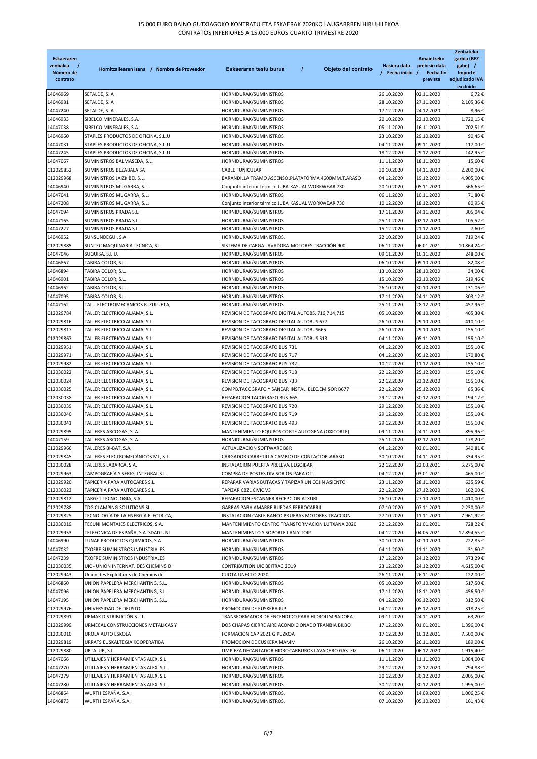| <b>Eskaeraren</b><br>zenbakia<br>$\prime$<br>Número de<br>contrato | Hornitzailearen izena / Nombre de Proveedor                             | $\overline{I}$<br>Eskaeraren testu burua<br>Objeto del contrato                                      | Hasiera data<br>/ Fecha inicio / | Amaietzeko<br>prebisio data<br>Fecha fin<br>prevista | Zenbateko<br>garbia (BEZ<br>gabe) /<br>Importe<br>adjudicado IVA<br>excluído |
|--------------------------------------------------------------------|-------------------------------------------------------------------------|------------------------------------------------------------------------------------------------------|----------------------------------|------------------------------------------------------|------------------------------------------------------------------------------|
| 14046969                                                           | SETALDE, S. A                                                           | HORNIDURAK/SUMINISTROS                                                                               | 26.10.2020                       | 02.11.2020                                           | 6,72€                                                                        |
| 14046981                                                           | SETALDE, S. A                                                           | HORNIDURAK/SUMINISTROS                                                                               | 28.10.2020                       | 27.11.2020                                           | 2.105,36€                                                                    |
| 14047240                                                           | SETALDE, S. A                                                           | HORNIDURAK/SUMINISTROS                                                                               | 17.12.2020                       | 24.12.2020                                           | 8,96€                                                                        |
| 14046933                                                           | SIBELCO MINERALES, S.A.                                                 | HORNIDURAK/SUMINISTROS                                                                               | 20.10.2020                       | 22.10.2020                                           | 1.720,15€                                                                    |
| 14047038                                                           | SIBELCO MINERALES, S.A.                                                 | HORNIDURAK/SUMINISTROS                                                                               | 05.11.2020                       | 16.11.2020                                           | 702,51€                                                                      |
| 14046960                                                           | STAPLES PRODUCTOS DE OFICINA, S.L.U                                     | HORNIDURAK/SUMINISTROS                                                                               | 23.10.2020                       | 29.10.2020                                           | 90,45€                                                                       |
| 14047031                                                           | STAPLES PRODUCTOS DE OFICINA, S.L.U                                     | HORNIDURAK/SUMINISTROS                                                                               | 04.11.2020<br>18.12.2020         | 09.11.2020                                           | 117,00€                                                                      |
| 14047245<br>14047067                                               | STAPLES PRODUCTOS DE OFICINA, S.L.U<br>SUMINISTROS BALMASEDA, S.L.      | HORNIDURAK/SUMINISTROS<br>HORNIDURAK/SUMINISTROS                                                     | 11.11.2020                       | 29.12.2020<br>18.11.2020                             | 142,95€<br>15,60€                                                            |
| C12029852                                                          | SUMINISTROS BEZABALA SA                                                 | CABLE FUNICULAR                                                                                      | 30.10.2020                       | 14.11.2020                                           | 2.200,00€                                                                    |
| C12029968                                                          | SUMINISTROS JAIZKIBEL S.L.                                              | BARANDILLA TRAMO ASCENSO.PLATAFORMA 4600MM.T.ARASO                                                   | 04.12.2020                       | 19.12.2020                                           | 4.905,00€                                                                    |
| 14046940                                                           | SUMINISTROS MUGARRA, S.L.                                               | Conjunto interior térmico JUBA KASUAL WORKWEAR 730                                                   | 20.10.2020                       | 05.11.2020                                           | 566,65€                                                                      |
| 14047041                                                           | SUMINISTROS MUGARRA, S.L.                                               | HORNIDURAK/SUMINISTROS                                                                               | 06.11.2020                       | 10.11.2020                                           | 71,80€                                                                       |
| 14047208                                                           | SUMINISTROS MUGARRA, S.L.                                               | Conjunto interior térmico JUBA KASUAL WORKWEAR 730                                                   | 10.12.2020                       | 18.12.2020                                           | 80,95€                                                                       |
| 14047094                                                           | SUMINISTROS PRADA S.L.                                                  | HORNIDURAK/SUMINISTROS                                                                               | 17.11.2020                       | 24.11.2020                                           | 305,04€                                                                      |
| 14047165                                                           | SUMINISTROS PRADA S.L.                                                  | HORNIDURAK/SUMINISTROS                                                                               | 25.11.2020                       | 02.12.2020                                           | 105,52€                                                                      |
| 14047227                                                           | SUMINISTROS PRADA S.L.                                                  | HORNIDURAK/SUMINISTROS                                                                               | 15.12.2020                       | 21.12.2020                                           | 7,60€                                                                        |
| 14046952                                                           | SUNSUNDEGUI, S.A.                                                       | HORNIDURAK/SUMINISTROS.                                                                              | 22.10.2020                       | 14.10.2020                                           | 719,24€                                                                      |
| C12029885                                                          | SUNTEC MAQUINARIA TECNICA, S.L.                                         | SISTEMA DE CARGA LAVADORA MOTORES TRACCIÓN 900                                                       | 06.11.2020                       | 06.01.2021                                           | 10.864,24€                                                                   |
| 14047046                                                           | SUQUISA, S.L.U.                                                         | HORNIDURAK/SUMINISTROS                                                                               | 09.11.2020                       | 16.11.2020                                           | 248,00€                                                                      |
| 14046867                                                           | TABIRA COLOR, S.L.                                                      | HORNIDURAK/SUMINISTROS                                                                               | 06.10.2020                       | 09.10.2020                                           | 82,08€                                                                       |
| 14046894<br>14046901                                               | TABIRA COLOR, S.L.<br>TABIRA COLOR, S.L.                                | HORNIDURAK/SUMINISTROS<br>HORNIDURAK/SUMINISTROS                                                     | 13.10.2020<br>15.10.2020         | 28.10.2020<br>22.10.2020                             | 34,00€<br>519,46€                                                            |
| 14046962                                                           | TABIRA COLOR, S.L.                                                      | HORNIDURAK/SUMINISTROS                                                                               | 26.10.2020                       | 30.10.2020                                           | 131,06€                                                                      |
| 14047095                                                           | TABIRA COLOR, S.L.                                                      | HORNIDURAK/SUMINISTROS                                                                               | 17.11.2020                       | 24.11.2020                                           | 303,12€                                                                      |
| 14047162                                                           | TALL. ELECTROMECANICOS R. ZULUETA,                                      | HORNIDURAK/SUMINISTROS                                                                               | 25.11.2020                       | 28.12.2020                                           | 457,96€                                                                      |
| C12029784                                                          | TALLER ELECTRICO ALJAMA, S.L.                                           | REVISION DE TACOGRAFO DIGITAL AUTOBS. 716,714,715                                                    | 05.10.2020                       | 08.10.2020                                           | 465,30€                                                                      |
| C12029816                                                          | TALLER ELECTRICO ALJAMA, S.L                                            | REVISION DE TACOGRAFO DIGITAL AUTOBUS 677                                                            | 26.10.2020                       | 29.10.2020                                           | 410,10€                                                                      |
| C12029817                                                          | TALLER ELECTRICO ALJAMA, S.L.                                           | REVISION DE TACOGRAFO DIGITAL AUTOBUS665                                                             | 26.10.2020                       | 29.10.2020                                           | 155,10€                                                                      |
| C12029867                                                          | TALLER ELECTRICO ALJAMA, S.L.                                           | REVISION DE TACOGRAFO DIGITAL AUTOBUS 513                                                            | 04.11.2020                       | 05.11.2020                                           | 155,10€                                                                      |
| C12029951                                                          | TALLER ELECTRICO ALJAMA, S.L.                                           | REVISION DE TACOGRAFO BUS 731                                                                        | 04.12.2020                       | 05.12.2020                                           | 155,10€                                                                      |
| C12029971                                                          | TALLER ELECTRICO ALJAMA, S.L.                                           | REVISION DE TACOGRAFO BUS 717                                                                        | 04.12.2020                       | 05.12.2020                                           | 170,80€                                                                      |
| C12029982                                                          | TALLER ELECTRICO ALJAMA, S.L.                                           | REVISION DE TACOGRAFO BUS 732                                                                        | 10.12.2020                       | 11.12.2020                                           | 155,10€                                                                      |
| C12030022                                                          | TALLER ELECTRICO ALJAMA, S.L.                                           | REVISION DE TACOGRAFO BUS 718                                                                        | 22.12.2020                       | 25.12.2020                                           | 155,10€                                                                      |
| C12030024                                                          | TALLER ELECTRICO ALJAMA, S.L.                                           | REVISION DE TACOGRAFO BUS 733                                                                        | 22.12.2020                       | 23.12.2020                                           | 155,10€                                                                      |
| C12030025<br>C12030038                                             | TALLER ELECTRICO ALJAMA, S.L.<br>TALLER ELECTRICO ALJAMA, S.L.          | COMPB.TACOGRAFO Y SANEAR INSTAL. ELEC.EMISOR B677<br>REPARACION TACOGRAFO BUS 665                    | 22.12.2020<br>29.12.2020         | 25.12.2020<br>30.12.2020                             | 85,36€<br>194,12€                                                            |
| C12030039                                                          | TALLER ELECTRICO ALJAMA, S.L.                                           | REVISION DE TACOGRAFO BUS 720                                                                        | 29.12.2020                       | 30.12.2020                                           | 155,10€                                                                      |
| C12030040                                                          | TALLER ELECTRICO ALJAMA, S.L.                                           | REVISION DE TACOGRAFO BUS 719                                                                        | 29.12.2020                       | 30.12.2020                                           | 155,10€                                                                      |
| C12030041                                                          | TALLER ELECTRICO ALJAMA, S.L.                                           | REVISION DE TACOGRAFO BUS 493                                                                        | 29.12.2020                       | 30.12.2020                                           | 155,10€                                                                      |
| C12029895                                                          | TALLERES ARCOGAS, S. A.                                                 | MANTENIMIENTO EQUIPOS CORTE AUTOGENA (OXICORTE)                                                      | 09.11.2020                       | 24.11.2020                                           | 895,96€                                                                      |
| 14047159                                                           | TALLERES ARCOGAS, S. A.                                                 | HORNIDURAK/SUMINISTROS                                                                               | 25.11.2020                       | 02.12.2020                                           | 178,20€                                                                      |
| C12029966                                                          | TALLERES BI-BAT, S.A.                                                   | ACTUALIZACION SOFTWARE B8R                                                                           | 04.12.2020                       | 03.01.2021                                           | 540,81€                                                                      |
| C12029845                                                          | TALLERES ELECTROMECÁNICOS ML, S.L.                                      | CARGADOR CARRETILLA CAMBIO DE CONTACTOR.ARASO                                                        | 30.10.2020                       | 14.11.2020                                           | 334,95€                                                                      |
| C12030028                                                          | TALLERES LABARCA, S.A.                                                  | INSTALACION PUERTA PRELEVA ELGOIBAR                                                                  | 22.12.2020                       | 22.03.2021                                           | 5.275,00€                                                                    |
| C12029963                                                          | TAMPOGRAFÍA Y SERIG. INTEGRAL S.L.                                      | COMPRA DE POSTES DIVISORIOS PARA OIT                                                                 | 04.12.2020                       | 03.01.2021                                           | 465,00€                                                                      |
| C12029920                                                          | TAPICERIA PARA AUTOCARES S.L.                                           | REPARAR VARIAS BUTACAS Y TAPIZAR UN COJIN ASIENTO                                                    | 23.11.2020                       | 28.11.2020                                           | 635,59€                                                                      |
| C12030023                                                          | TAPICERIA PARA AUTOCARES S.L.                                           | TAPIZAR CBZL CIVIC V3                                                                                | 22.12.2020                       | 27.12.2020                                           | 162,00€                                                                      |
| C12029812                                                          | TARGET TECNOLOGIA, S.A.                                                 | REPARACION ESCANNER RECEPCION ATXURI                                                                 | 26.10.2020                       | 27.10.2020                                           | 1.410,00 €                                                                   |
| C12029788                                                          | TDG CLAMPING SOLUTIONS SL                                               | GARRAS PARA AMARRE RUEDAS FERROCARRIL                                                                | 07.10.2020                       | 07.11.2020                                           | 2.230,00€                                                                    |
| C12029825<br>C12030019                                             | TECNOLOGÍA DE LA ENERGÍA ELECTRICA,<br>TECUNI MONTAJES ELECTRICOS, S.A. | INSTALACION CABLE BANCO PRUEBAS MOTORES TRACCION<br>MANTENIMIENTO CENTRO TRANSFORMACION LUTXANA 2020 | 27.10.2020<br>22.12.2020         | 11.11.2020<br>21.01.2021                             | 7.961,92€<br>728,22€                                                         |
| C12029953                                                          | TELEFONICA DE ESPAÑA, S.A. SDAD UNI                                     | MANTENIMIENTO Y SOPORTE LAN Y TOIP                                                                   | 04.12.2020                       | 04.05.2021                                           | 12.894,55€                                                                   |
| 14046990                                                           | TUNAP PRODUCTOS QUIMICOS, S.A.                                          | HORNIDURAK/SUMINISTROS                                                                               | 30.10.2020                       | 30.10.2020                                           | 222,85€                                                                      |
| 14047032                                                           | TXOFRE SUMINISTROS INDUSTRIALES                                         | HORNIDURAK/SUMINISTROS                                                                               | 04.11.2020                       | 11.11.2020                                           | 31,60€                                                                       |
| 14047239                                                           | TXOFRE SUMINISTROS INDUSTRIALES                                         | HORNIDURAK/SUMINISTROS                                                                               | 17.12.2020                       | 24.12.2020                                           | 373,29€                                                                      |
| C12030035                                                          | UIC - UNION INTERNAT. DES CHEMINS D                                     | CONTRIBUTION UIC BEITRAG 2019                                                                        | 23.12.2020                       | 24.12.2020                                           | 4.615,00 €                                                                   |
| C12029943                                                          | Union des Exploitants de Chemins de                                     | CUOTA UNECTO 2020                                                                                    | 26.11.2020                       | 26.11.2021                                           | 122,00 €                                                                     |
| 14046860                                                           | UNION PAPELERA MERCHANTING, S.L.                                        | HORNIDURAK/SUMINISTROS                                                                               | 05.10.2020                       | 07.10.2020                                           | 517,50€                                                                      |
| 14047096                                                           | UNION PAPELERA MERCHANTING, S.L.                                        | HORNIDURAK/SUMINISTROS                                                                               | 17.11.2020                       | 18.11.2020                                           | 456,50€                                                                      |
| 14047195                                                           | UNION PAPELERA MERCHANTING, S.L.                                        | HORNIDURAK/SUMINISTROS                                                                               | 04.12.2020                       | 09.12.2020                                           | 312,50€                                                                      |
| C12029976                                                          | UNIVERSIDAD DE DEUSTO                                                   | PROMOCION DE EUSKERA IUP                                                                             | 04.12.2020                       | 05.12.2020                                           | 318,25€                                                                      |
| C12029891                                                          | URMAK DISTRIBUCIÓN S.L.L.                                               | TRANSFORMADOR DE ENCENDIDO PARA HIDROLIMPIADORA                                                      | 09.11.2020                       | 24.11.2020                                           | 63,20€                                                                       |
| C12029999                                                          | URMECAL CONSTRUCCIONES METALICAS Y                                      | DOS CHAPAS CIERRE AIRE ACONDICIONADO TRANBIA BILBO                                                   | 17.12.2020                       | 01.01.2021                                           | 1.396,00€                                                                    |
| C12030010                                                          | UROLA AUTO ESKOLA                                                       | FORMACIÓN CAP 2021 GIPUZKOA                                                                          | 17.12.2020                       | 16.12.2021                                           | 7.500,00 €                                                                   |
| C12029819                                                          | URRATS EUSKALTEGIA KOOPERATIBA                                          | PROMOCION DE EUSKERA MAMM                                                                            | 26.10.2020                       | 26.11.2020                                           | 189,00 €                                                                     |
| C12029880<br>14047066                                              | URTALUR, S.L.<br>UTILLAJES Y HERRAMIENTAS ALEX, S.L.                    | LIMPIEZA DECANTADOR HIDROCARBUROS LAVADERO GASTEIZ<br>HORNIDURAK/SUMINISTROS                         | 06.11.2020<br>11.11.2020         | 06.12.2020<br>11.11.2020                             | 1.915,40€<br>1.084,00€                                                       |
| 14047270                                                           | UTILLAJES Y HERRAMIENTAS ALEX, S.L.                                     | HORNIDURAK/SUMINISTROS                                                                               | 29.12.2020                       | 28.12.2020                                           | 794,88€                                                                      |
| 14047279                                                           | UTILLAJES Y HERRAMIENTAS ALEX, S.L.                                     | HORNIDURAK/SUMINISTROS                                                                               | 30.12.2020                       | 30.12.2020                                           | 2.005,00€                                                                    |
| 14047280                                                           | UTILLAJES Y HERRAMIENTAS ALEX, S.L.                                     | HORNIDURAK/SUMINISTROS                                                                               | 30.12.2020                       | 30.12.2020                                           | 1.995,00€                                                                    |
| 14046864                                                           | WURTH ESPAÑA, S.A.                                                      | HORNIDURAK/SUMINISTROS.                                                                              | 06.10.2020                       | 14.09.2020                                           | 1.006,25€                                                                    |
| 14046873                                                           | WURTH ESPAÑA, S.A.                                                      | HORNIDURAK/SUMINISTROS.                                                                              | 07.10.2020                       | 05.10.2020                                           | 161,43€                                                                      |